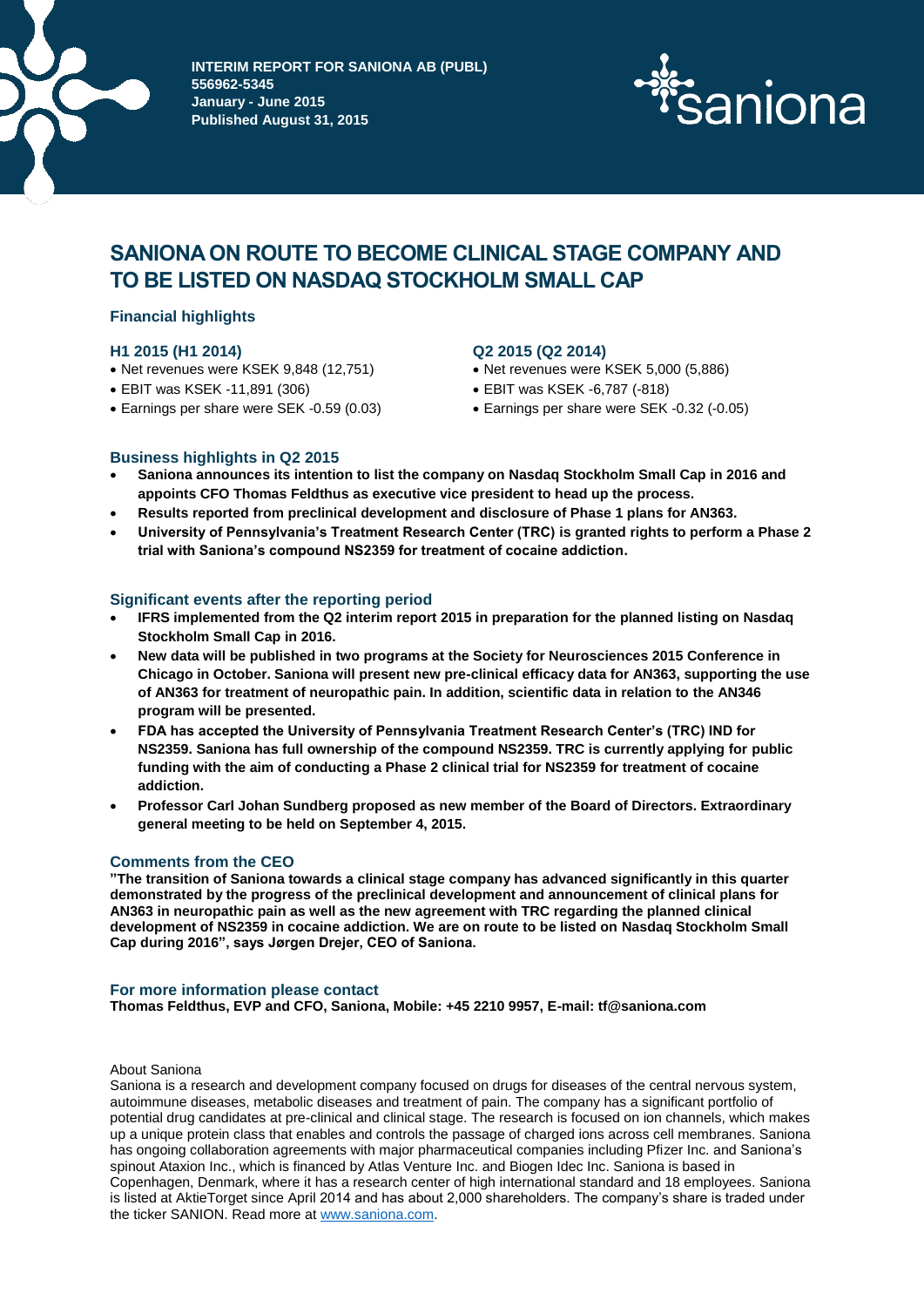

**INTERIM REPORT FOR SANIONA AB (PUBL) 556962-5345 January - June 2015 Published August 31, 2015**



# **SANIONA ON ROUTE TO BECOME CLINICAL STAGE COMPANY AND TO BE LISTED ON NASDAQ STOCKHOLM SMALL CAP**

# **Financial highlights**

# **H1 2015 (H1 2014)**

- Net revenues were KSEK 9,848 (12,751)
- EBIT was KSEK -11,891 (306)
- Earnings per share were SEK -0.59 (0.03)

# **Q2 2015 (Q2 2014)**

- Net revenues were KSEK 5,000 (5,886)
- EBIT was KSEK -6,787 (-818)
- Earnings per share were SEK -0.32 (-0.05)

# **Business highlights in Q2 2015**

- **Saniona announces its intention to list the company on Nasdaq Stockholm Small Cap in 2016 and appoints CFO Thomas Feldthus as executive vice president to head up the process.**
- **Results reported from preclinical development and disclosure of Phase 1 plans for AN363.**
- **University of Pennsylvania's Treatment Research Center (TRC) is granted rights to perform a Phase 2 trial with Saniona's compound NS2359 for treatment of cocaine addiction.**

# **Significant events after the reporting period**

- **IFRS implemented from the Q2 interim report 2015 in preparation for the planned listing on Nasdaq Stockholm Small Cap in 2016.**
- **New data will be published in two programs at the Society for Neurosciences 2015 Conference in Chicago in October. Saniona will present new pre-clinical efficacy data for AN363, supporting the use of AN363 for treatment of neuropathic pain. In addition, scientific data in relation to the AN346 program will be presented.**
- **FDA has accepted the University of Pennsylvania Treatment Research Center's (TRC) IND for NS2359. Saniona has full ownership of the compound NS2359. TRC is currently applying for public funding with the aim of conducting a Phase 2 clinical trial for NS2359 for treatment of cocaine addiction.**
- **Professor Carl Johan Sundberg proposed as new member of the Board of Directors. Extraordinary general meeting to be held on September 4, 2015.**

# **Comments from the CEO**

**"The transition of Saniona towards a clinical stage company has advanced significantly in this quarter demonstrated by the progress of the preclinical development and announcement of clinical plans for AN363 in neuropathic pain as well as the new agreement with TRC regarding the planned clinical development of NS2359 in cocaine addiction. We are on route to be listed on Nasdaq Stockholm Small Cap during 2016", says Jørgen Drejer, CEO of Saniona.**

#### **For more information please contact**

**Thomas Feldthus, EVP and CFO, Saniona, Mobile: +45 2210 9957, E-mail: tf@saniona.com**

#### About Saniona

Saniona is a research and development company focused on drugs for diseases of the central nervous system, autoimmune diseases, metabolic diseases and treatment of pain. The company has a significant portfolio of potential drug candidates at pre-clinical and clinical stage. The research is focused on ion channels, which makes up a unique protein class that enables and controls the passage of charged ions across cell membranes. Saniona has ongoing collaboration agreements with major pharmaceutical companies including Pfizer Inc. and Saniona's spinout Ataxion Inc., which is financed by Atlas Venture Inc. and Biogen Idec Inc. Saniona is based in Copenhagen, Denmark, where it has a research center of high international standard and 18 employees. Saniona is listed at AktieTorget since April 2014 and has about 2,000 shareholders. The company's share is traded under the ticker SANION. Read more a[t www.saniona.com.](http://www.saniona.com/)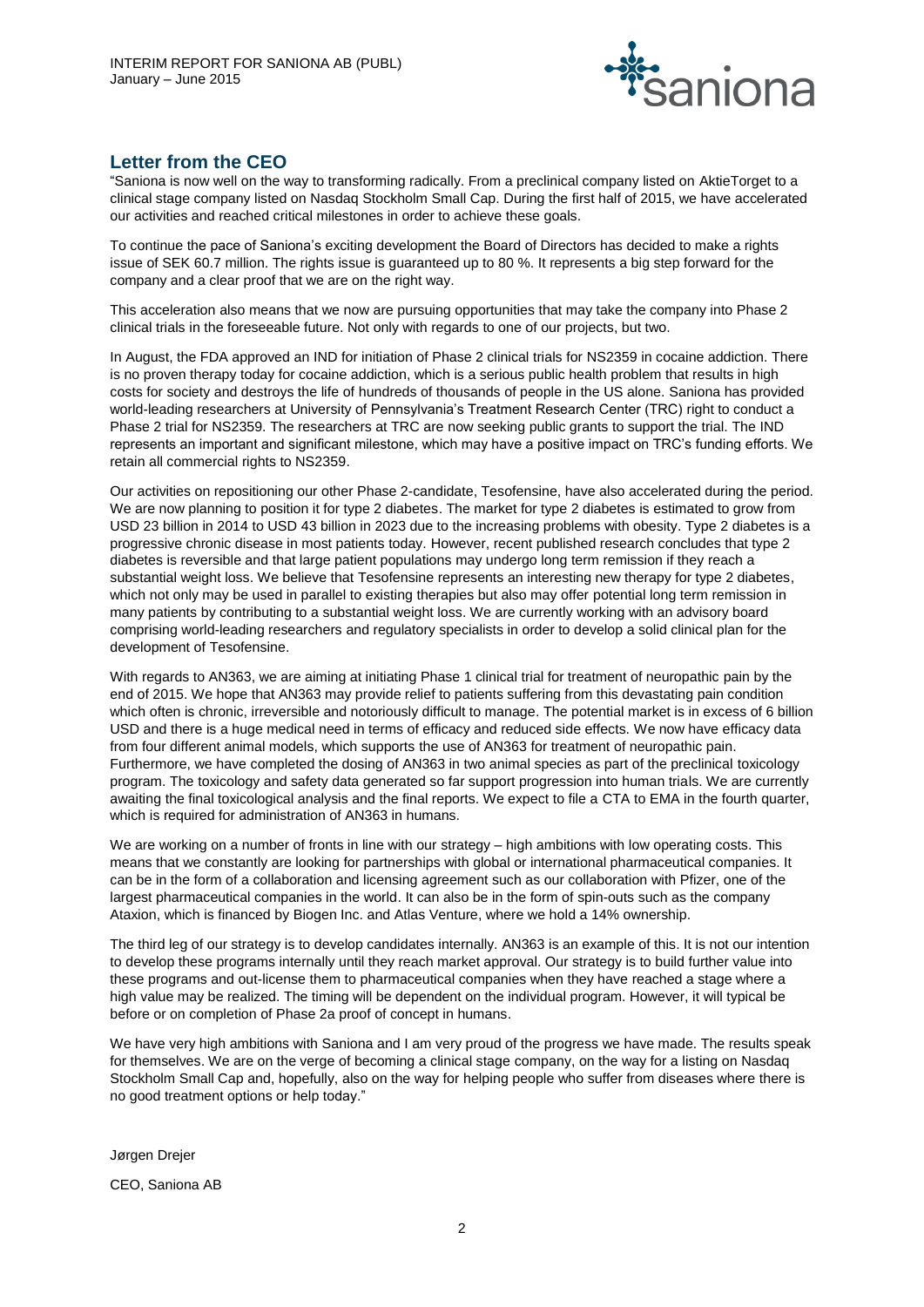

# **Letter from the CEO**

"Saniona is now well on the way to transforming radically. From a preclinical company listed on AktieTorget to a clinical stage company listed on Nasdaq Stockholm Small Cap. During the first half of 2015, we have accelerated our activities and reached critical milestones in order to achieve these goals.

To continue the pace of Saniona's exciting development the Board of Directors has decided to make a rights issue of SEK 60.7 million. The rights issue is guaranteed up to 80 %. It represents a big step forward for the company and a clear proof that we are on the right way.

This acceleration also means that we now are pursuing opportunities that may take the company into Phase 2 clinical trials in the foreseeable future. Not only with regards to one of our projects, but two.

In August, the FDA approved an IND for initiation of Phase 2 clinical trials for NS2359 in cocaine addiction. There is no proven therapy today for cocaine addiction, which is a serious public health problem that results in high costs for society and destroys the life of hundreds of thousands of people in the US alone. Saniona has provided world-leading researchers at University of Pennsylvania's Treatment Research Center (TRC) right to conduct a Phase 2 trial for NS2359. The researchers at TRC are now seeking public grants to support the trial. The IND represents an important and significant milestone, which may have a positive impact on TRC's funding efforts. We retain all commercial rights to NS2359.

Our activities on repositioning our other Phase 2-candidate, Tesofensine, have also accelerated during the period. We are now planning to position it for type 2 diabetes. The market for type 2 diabetes is estimated to grow from USD 23 billion in 2014 to USD 43 billion in 2023 due to the increasing problems with obesity. Type 2 diabetes is a progressive chronic disease in most patients today. However, recent published research concludes that type 2 diabetes is reversible and that large patient populations may undergo long term remission if they reach a substantial weight loss. We believe that Tesofensine represents an interesting new therapy for type 2 diabetes, which not only may be used in parallel to existing therapies but also may offer potential long term remission in many patients by contributing to a substantial weight loss. We are currently working with an advisory board comprising world-leading researchers and regulatory specialists in order to develop a solid clinical plan for the development of Tesofensine.

With regards to AN363, we are aiming at initiating Phase 1 clinical trial for treatment of neuropathic pain by the end of 2015. We hope that AN363 may provide relief to patients suffering from this devastating pain condition which often is chronic, irreversible and notoriously difficult to manage. The potential market is in excess of 6 billion USD and there is a huge medical need in terms of efficacy and reduced side effects. We now have efficacy data from four different animal models, which supports the use of AN363 for treatment of neuropathic pain. Furthermore, we have completed the dosing of AN363 in two animal species as part of the preclinical toxicology program. The toxicology and safety data generated so far support progression into human trials. We are currently awaiting the final toxicological analysis and the final reports. We expect to file a CTA to EMA in the fourth quarter, which is required for administration of AN363 in humans.

We are working on a number of fronts in line with our strategy – high ambitions with low operating costs. This means that we constantly are looking for partnerships with global or international pharmaceutical companies. It can be in the form of a collaboration and licensing agreement such as our collaboration with Pfizer, one of the largest pharmaceutical companies in the world. It can also be in the form of spin-outs such as the company Ataxion, which is financed by Biogen Inc. and Atlas Venture, where we hold a 14% ownership.

The third leg of our strategy is to develop candidates internally. AN363 is an example of this. It is not our intention to develop these programs internally until they reach market approval. Our strategy is to build further value into these programs and out-license them to pharmaceutical companies when they have reached a stage where a high value may be realized. The timing will be dependent on the individual program. However, it will typical be before or on completion of Phase 2a proof of concept in humans.

We have very high ambitions with Saniona and I am very proud of the progress we have made. The results speak for themselves. We are on the verge of becoming a clinical stage company, on the way for a listing on Nasdaq Stockholm Small Cap and, hopefully, also on the way for helping people who suffer from diseases where there is no good treatment options or help today."

Jørgen Drejer CEO, Saniona AB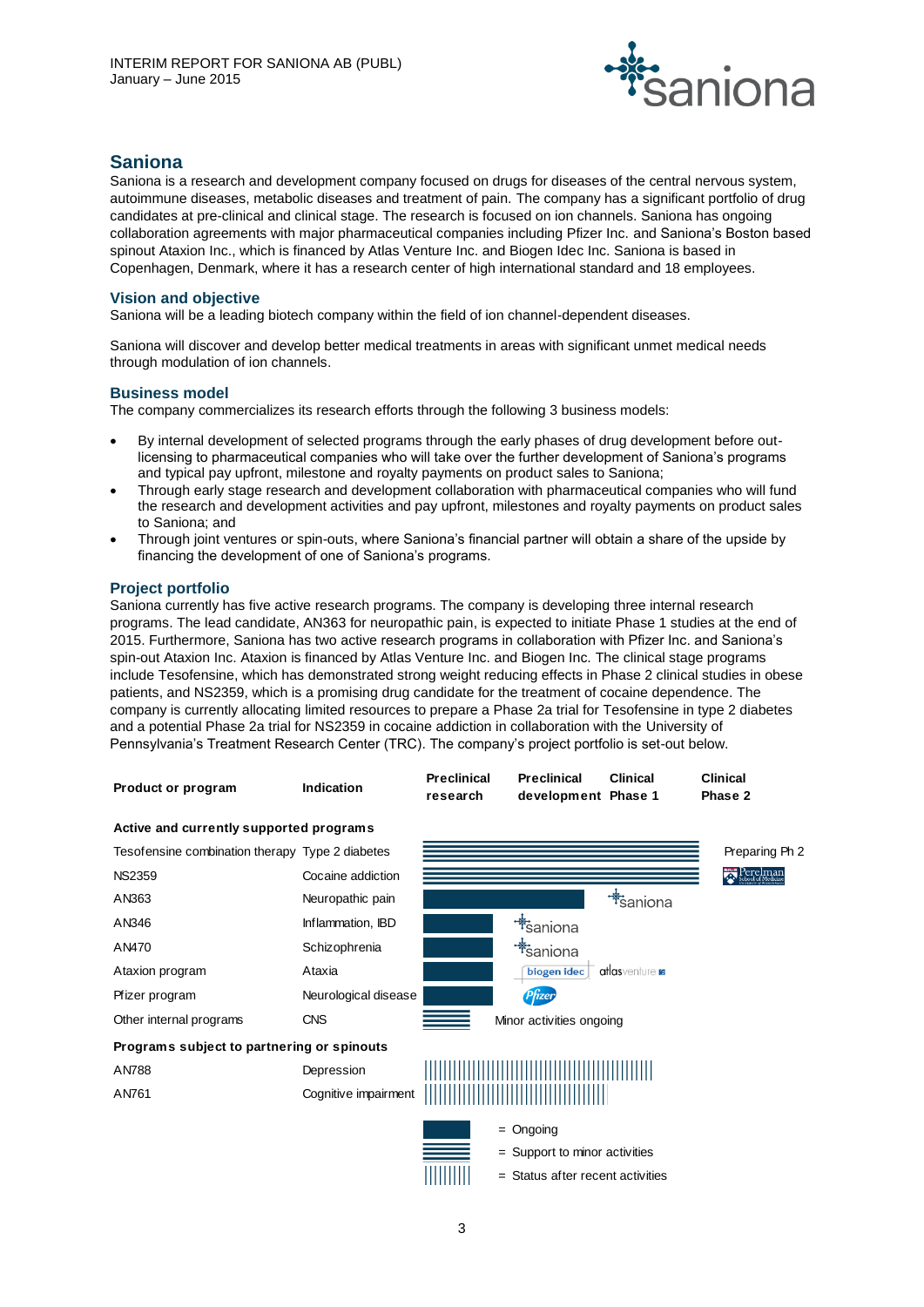

# **Saniona**

Saniona is a research and development company focused on drugs for diseases of the central nervous system, autoimmune diseases, metabolic diseases and treatment of pain. The company has a significant portfolio of drug candidates at pre-clinical and clinical stage. The research is focused on ion channels. Saniona has ongoing collaboration agreements with major pharmaceutical companies including Pfizer Inc. and Saniona's Boston based spinout Ataxion Inc., which is financed by Atlas Venture Inc. and Biogen Idec Inc. Saniona is based in Copenhagen, Denmark, where it has a research center of high international standard and 18 employees.

# **Vision and objective**

Saniona will be a leading biotech company within the field of ion channel-dependent diseases.

Saniona will discover and develop better medical treatments in areas with significant unmet medical needs through modulation of ion channels.

# **Business model**

The company commercializes its research efforts through the following 3 business models:

- By internal development of selected programs through the early phases of drug development before outlicensing to pharmaceutical companies who will take over the further development of Saniona's programs and typical pay upfront, milestone and royalty payments on product sales to Saniona;
- Through early stage research and development collaboration with pharmaceutical companies who will fund the research and development activities and pay upfront, milestones and royalty payments on product sales to Saniona; and
- Through joint ventures or spin-outs, where Saniona's financial partner will obtain a share of the upside by financing the development of one of Saniona's programs.

# **Project portfolio**

Saniona currently has five active research programs. The company is developing three internal research programs. The lead candidate, AN363 for neuropathic pain, is expected to initiate Phase 1 studies at the end of 2015. Furthermore, Saniona has two active research programs in collaboration with Pfizer Inc. and Saniona's spin-out Ataxion Inc. Ataxion is financed by Atlas Venture Inc. and Biogen Inc. The clinical stage programs include Tesofensine, which has demonstrated strong weight reducing effects in Phase 2 clinical studies in obese patients, and NS2359, which is a promising drug candidate for the treatment of cocaine dependence. The company is currently allocating limited resources to prepare a Phase 2a trial for Tesofensine in type 2 diabetes and a potential Phase 2a trial for NS2359 in cocaine addiction in collaboration with the University of Pennsylvania's Treatment Research Center (TRC). The company's project portfolio is set-out below.

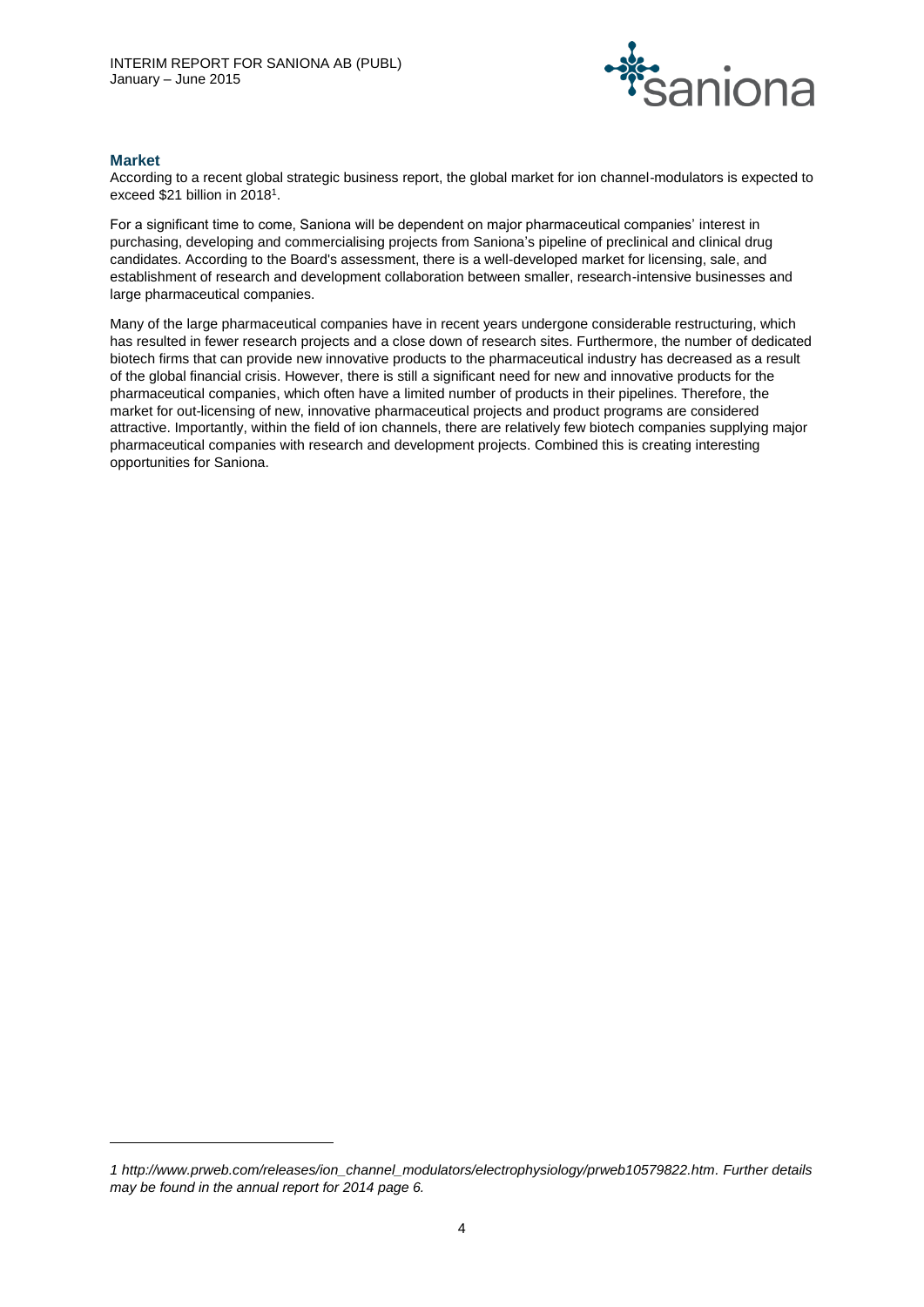

# **Market**

l

According to a recent global strategic business report, the global market for ion channel-modulators is expected to exceed \$21 billion in 2018<sup>1</sup>.

For a significant time to come, Saniona will be dependent on major pharmaceutical companies' interest in purchasing, developing and commercialising projects from Saniona's pipeline of preclinical and clinical drug candidates. According to the Board's assessment, there is a well-developed market for licensing, sale, and establishment of research and development collaboration between smaller, research-intensive businesses and large pharmaceutical companies.

Many of the large pharmaceutical companies have in recent years undergone considerable restructuring, which has resulted in fewer research projects and a close down of research sites. Furthermore, the number of dedicated biotech firms that can provide new innovative products to the pharmaceutical industry has decreased as a result of the global financial crisis. However, there is still a significant need for new and innovative products for the pharmaceutical companies, which often have a limited number of products in their pipelines. Therefore, the market for out-licensing of new, innovative pharmaceutical projects and product programs are considered attractive. Importantly, within the field of ion channels, there are relatively few biotech companies supplying major pharmaceutical companies with research and development projects. Combined this is creating interesting opportunities for Saniona.

*<sup>1</sup> [http://www.prweb.com/releases/ion\\_channel\\_modulators/electrophysiology/prweb10579822.htm.](http://www.prweb.com/releases/ion_channel_modulators/electrophysiology/prweb10579822.htm) Further details may be found in the annual report for 2014 page 6.*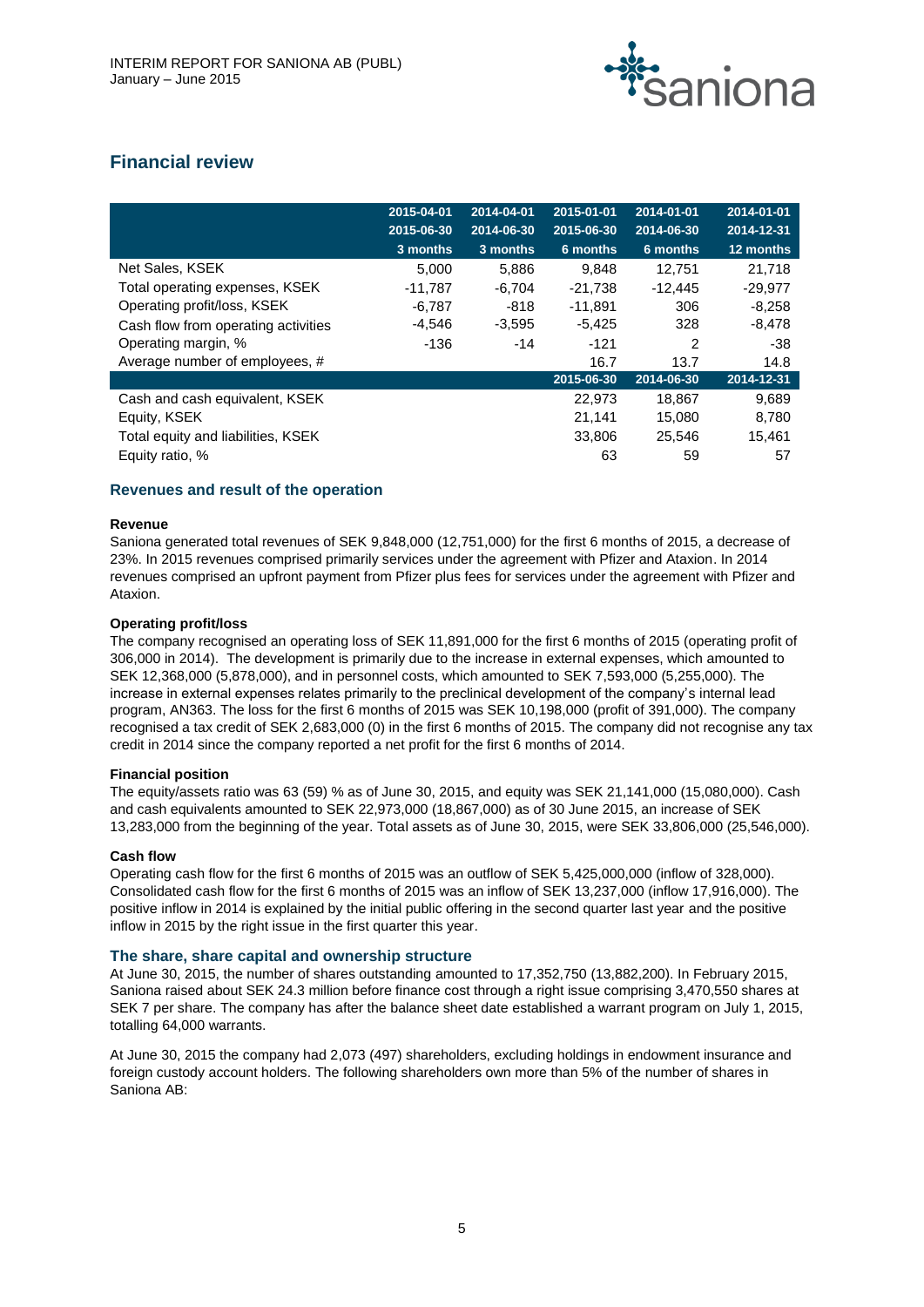

# **Financial review**

|                                     | 2015-04-01<br>2015-06-30 | 2014-04-01<br>2014-06-30 | 2015-01-01<br>2015-06-30 | 2014-01-01<br>2014-06-30 | 2014-01-01<br>2014-12-31 |
|-------------------------------------|--------------------------|--------------------------|--------------------------|--------------------------|--------------------------|
|                                     | 3 months                 | 3 months                 | 6 months                 | 6 months                 | 12 months                |
| Net Sales, KSEK                     | 5.000                    | 5,886                    | 9.848                    | 12.751                   | 21,718                   |
| Total operating expenses, KSEK      | $-11.787$                | $-6,704$                 | $-21.738$                | $-12.445$                | $-29.977$                |
| Operating profit/loss, KSEK         | $-6,787$                 | -818                     | $-11,891$                | 306                      | $-8,258$                 |
| Cash flow from operating activities | $-4,546$                 | $-3,595$                 | $-5,425$                 | 328                      | $-8,478$                 |
| Operating margin, %                 | -136                     | $-14$                    | $-121$                   | $\mathcal{P}$            | -38                      |
| Average number of employees, #      |                          |                          | 16.7                     | 13.7                     | 14.8                     |
|                                     |                          |                          | 2015-06-30               | 2014-06-30               | 2014-12-31               |
| Cash and cash equivalent, KSEK      |                          |                          | 22,973                   | 18,867                   | 9,689                    |
| Equity, KSEK                        |                          |                          | 21,141                   | 15,080                   | 8,780                    |
| Total equity and liabilities, KSEK  |                          |                          | 33,806                   | 25.546                   | 15.461                   |
| Equity ratio, %                     |                          |                          | 63                       | 59                       | 57                       |

# **Revenues and result of the operation**

# **Revenue**

Saniona generated total revenues of SEK 9,848,000 (12,751,000) for the first 6 months of 2015, a decrease of 23%. In 2015 revenues comprised primarily services under the agreement with Pfizer and Ataxion. In 2014 revenues comprised an upfront payment from Pfizer plus fees for services under the agreement with Pfizer and Ataxion.

# **Operating profit/loss**

The company recognised an operating loss of SEK 11,891,000 for the first 6 months of 2015 (operating profit of 306,000 in 2014). The development is primarily due to the increase in external expenses, which amounted to SEK 12,368,000 (5,878,000), and in personnel costs, which amounted to SEK 7,593,000 (5,255,000). The increase in external expenses relates primarily to the preclinical development of the company's internal lead program, AN363. The loss for the first 6 months of 2015 was SEK 10,198,000 (profit of 391,000). The company recognised a tax credit of SEK 2,683,000 (0) in the first 6 months of 2015. The company did not recognise any tax credit in 2014 since the company reported a net profit for the first 6 months of 2014.

# **Financial position**

The equity/assets ratio was 63 (59) % as of June 30, 2015, and equity was SEK 21,141,000 (15,080,000). Cash and cash equivalents amounted to SEK 22,973,000 (18,867,000) as of 30 June 2015, an increase of SEK 13,283,000 from the beginning of the year. Total assets as of June 30, 2015, were SEK 33,806,000 (25,546,000).

# **Cash flow**

Operating cash flow for the first 6 months of 2015 was an outflow of SEK 5,425,000,000 (inflow of 328,000). Consolidated cash flow for the first 6 months of 2015 was an inflow of SEK 13,237,000 (inflow 17,916,000). The positive inflow in 2014 is explained by the initial public offering in the second quarter last year and the positive inflow in 2015 by the right issue in the first quarter this year.

# **The share, share capital and ownership structure**

At June 30, 2015, the number of shares outstanding amounted to 17,352,750 (13,882,200). In February 2015, Saniona raised about SEK 24.3 million before finance cost through a right issue comprising 3,470,550 shares at SEK 7 per share. The company has after the balance sheet date established a warrant program on July 1, 2015, totalling 64,000 warrants.

At June 30, 2015 the company had 2,073 (497) shareholders, excluding holdings in endowment insurance and foreign custody account holders. The following shareholders own more than 5% of the number of shares in Saniona AB: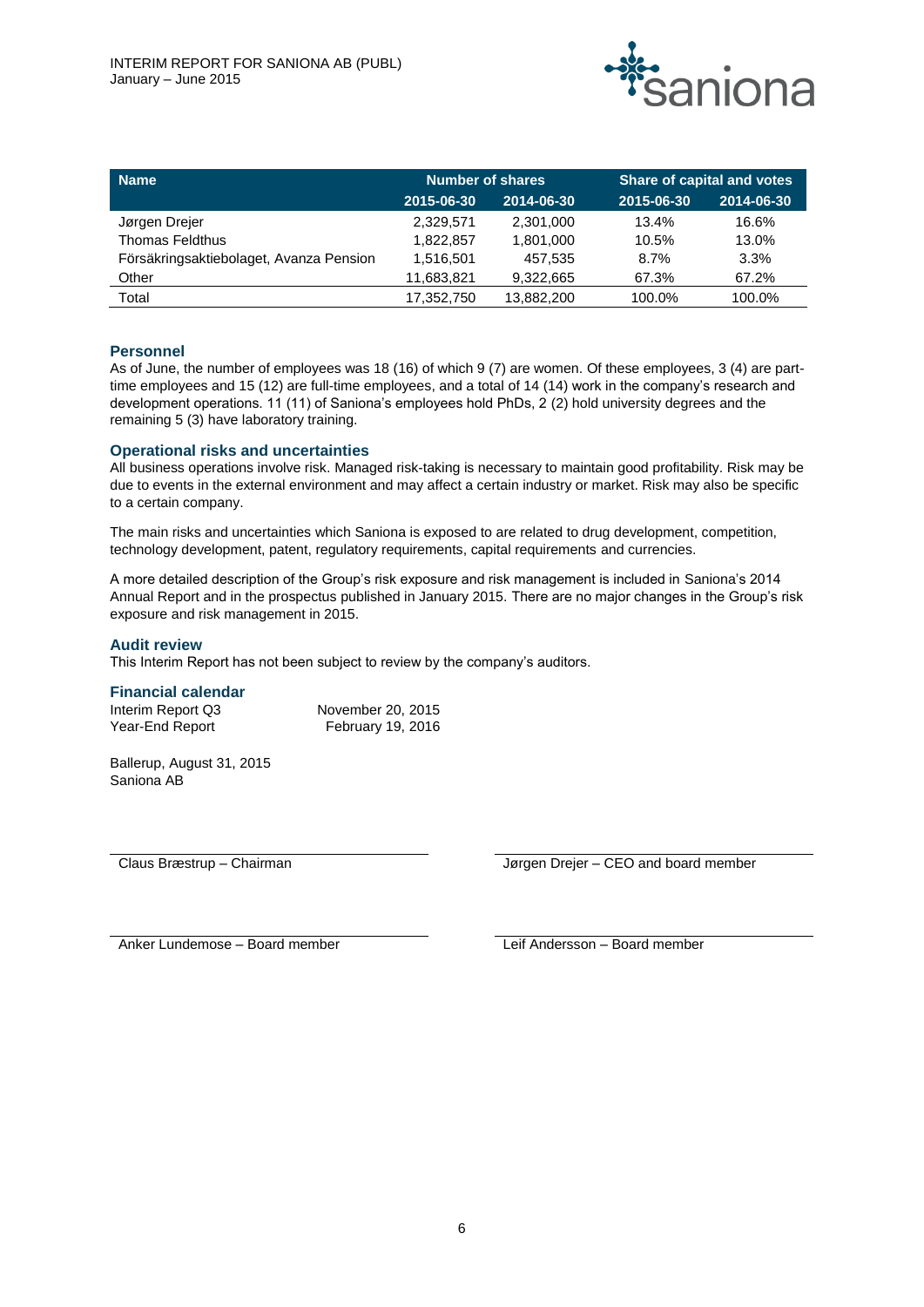

| <b>Name</b>                             | <b>Number of shares</b> |            | Share of capital and votes |            |  |
|-----------------------------------------|-------------------------|------------|----------------------------|------------|--|
|                                         | 2015-06-30              | 2014-06-30 | 2015-06-30                 | 2014-06-30 |  |
| Jørgen Drejer                           | 2,329,571               | 2,301,000  | 13.4%                      | 16.6%      |  |
| <b>Thomas Feldthus</b>                  | 1,822,857               | 1,801,000  | 10.5%                      | 13.0%      |  |
| Försäkringsaktiebolaget, Avanza Pension | 1.516.501               | 457.535    | 8.7%                       | 3.3%       |  |
| Other                                   | 11,683,821              | 9,322,665  | 67.3%                      | 67.2%      |  |
| Total                                   | 17.352.750              | 13,882,200 | 100.0%                     | 100.0%     |  |

# **Personnel**

As of June, the number of employees was 18 (16) of which 9 (7) are women. Of these employees, 3 (4) are parttime employees and 15 (12) are full-time employees, and a total of 14 (14) work in the company's research and development operations. 11 (11) of Saniona's employees hold PhDs, 2 (2) hold university degrees and the remaining 5 (3) have laboratory training.

# **Operational risks and uncertainties**

All business operations involve risk. Managed risk-taking is necessary to maintain good profitability. Risk may be due to events in the external environment and may affect a certain industry or market. Risk may also be specific to a certain company.

The main risks and uncertainties which Saniona is exposed to are related to drug development, competition, technology development, patent, regulatory requirements, capital requirements and currencies.

A more detailed description of the Group's risk exposure and risk management is included in Saniona's 2014 Annual Report and in the prospectus published in January 2015. There are no major changes in the Group's risk exposure and risk management in 2015.

# **Audit review**

This Interim Report has not been subject to review by the company's auditors.

#### **Financial calendar**

| Interim Report Q3 | November 20, 2015        |
|-------------------|--------------------------|
| Year-End Report   | <b>February 19, 2016</b> |

Ballerup, August 31, 2015 Saniona AB

Claus Bræstrup – Chairman **III. Et al. 2013** Jørgen Drejer – CEO and board member

Anker Lundemose – Board member Leif Andersson – Board member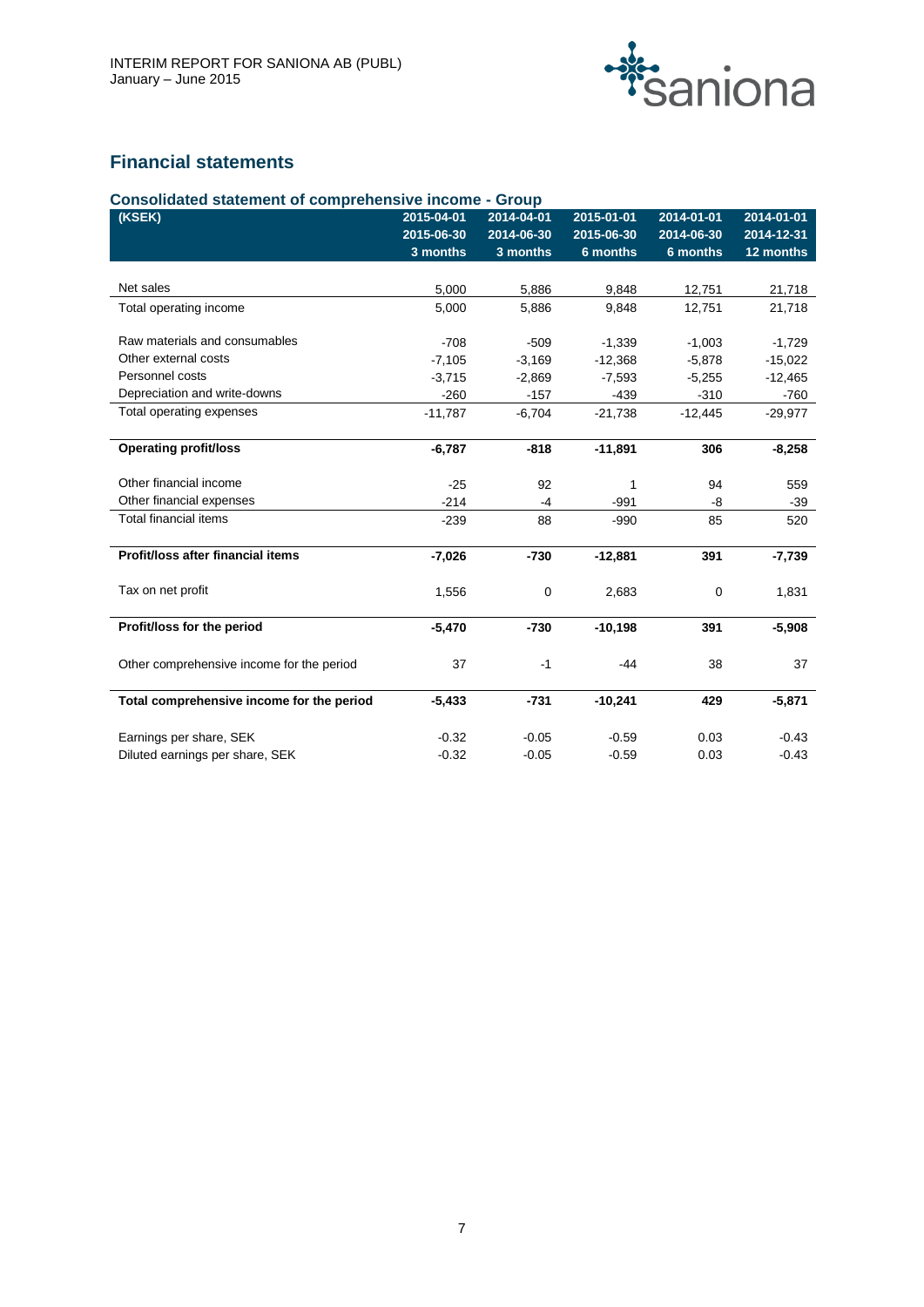

# **Financial statements**

| (KSEK)                                    | 2015-04-01<br>2015-06-30 | 2014-04-01<br>2014-06-30 | 2015-01-01<br>2015-06-30 | 2014-01-01<br>2014-06-30 | 2014-01-01<br>2014-12-31 |
|-------------------------------------------|--------------------------|--------------------------|--------------------------|--------------------------|--------------------------|
|                                           | 3 months                 | 3 months                 | 6 months                 | 6 months                 | 12 months                |
|                                           |                          |                          |                          |                          |                          |
| Net sales                                 | 5,000                    | 5,886                    | 9,848                    | 12,751                   | 21,718                   |
| Total operating income                    | 5,000                    | 5,886                    | 9,848                    | 12,751                   | 21,718                   |
| Raw materials and consumables             | $-708$                   | $-509$                   | $-1,339$                 | $-1,003$                 | $-1,729$                 |
| Other external costs                      | $-7,105$                 | $-3,169$                 | $-12,368$                | $-5,878$                 | $-15,022$                |
| Personnel costs                           | $-3.715$                 | $-2,869$                 | $-7.593$                 | $-5,255$                 | $-12,465$                |
| Depreciation and write-downs              | $-260$                   | $-157$                   | $-439$                   | $-310$                   | $-760$                   |
| Total operating expenses                  | $-11,787$                | $-6,704$                 | $-21,738$                | $-12,445$                | $-29,977$                |
| <b>Operating profit/loss</b>              | $-6,787$                 | $-818$                   | $-11,891$                | 306                      | $-8,258$                 |
| Other financial income                    | $-25$                    | 92                       | 1                        | 94                       | 559                      |
| Other financial expenses                  | $-214$                   | $-4$                     | $-991$                   | -8                       | $-39$                    |
| <b>Total financial items</b>              | $-239$                   | 88                       | $-990$                   | 85                       | 520                      |
| Profit/loss after financial items         | $-7,026$                 | $-730$                   | $-12,881$                | 391                      | $-7,739$                 |
| Tax on net profit                         | 1,556                    | $\mathbf 0$              | 2,683                    | $\mathbf 0$              | 1,831                    |
| Profit/loss for the period                | $-5,470$                 | $-730$                   | $-10,198$                | 391                      | $-5,908$                 |
| Other comprehensive income for the period | 37                       | $-1$                     | -44                      | 38                       | 37                       |
| Total comprehensive income for the period | $-5,433$                 | $-731$                   | $-10,241$                | 429                      | $-5,871$                 |
| Earnings per share, SEK                   | $-0.32$                  | $-0.05$                  | $-0.59$                  | 0.03                     | $-0.43$                  |
| Diluted earnings per share, SEK           | $-0.32$                  | $-0.05$                  | $-0.59$                  | 0.03                     | $-0.43$                  |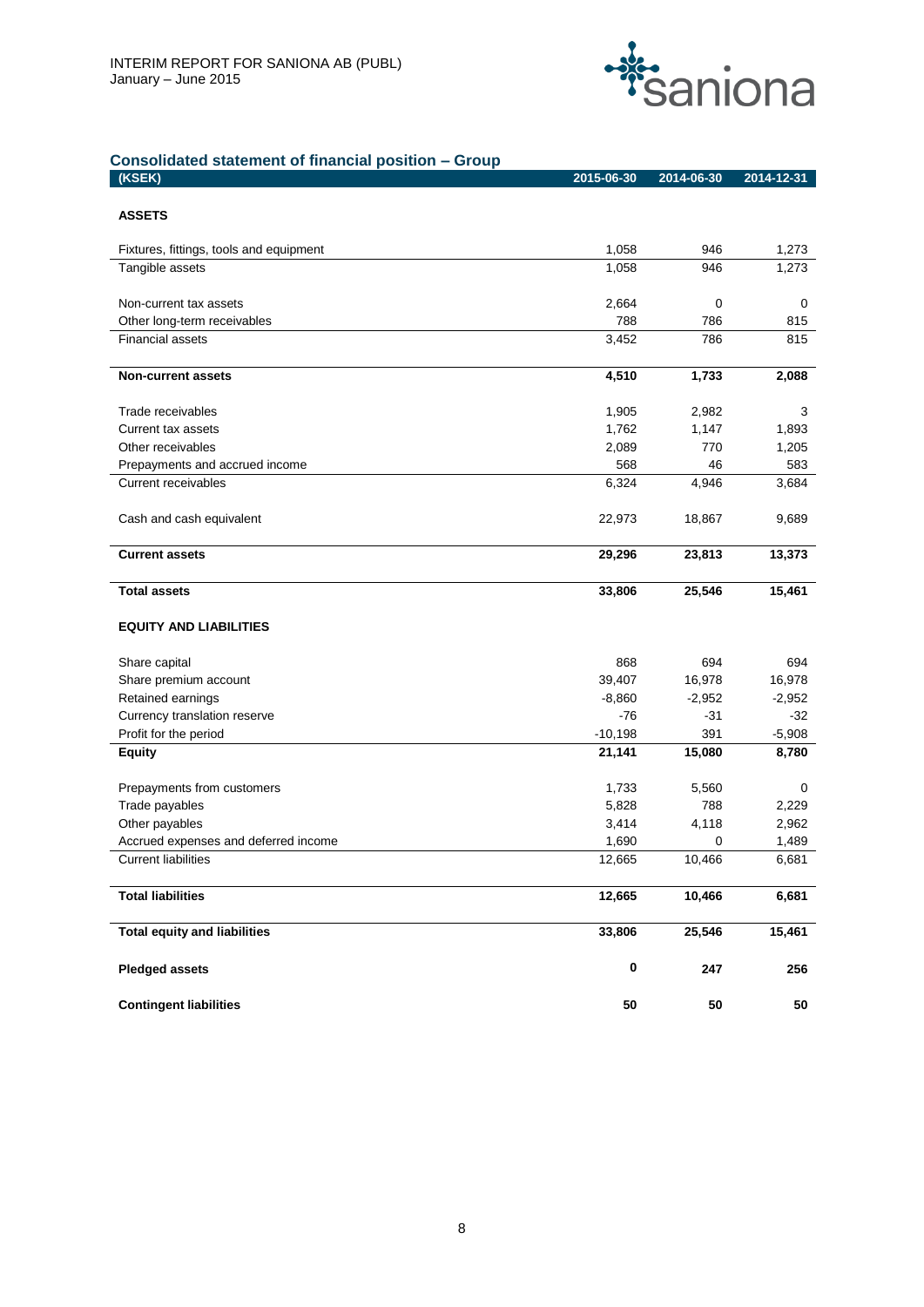

# **Consolidated statement of financial position – Group**

| (KSEK)                                  | 2015-06-30     | 2014-06-30   | 2014-12-31     |
|-----------------------------------------|----------------|--------------|----------------|
|                                         |                |              |                |
| <b>ASSETS</b>                           |                |              |                |
| Fixtures, fittings, tools and equipment | 1,058          | 946          | 1,273          |
| Tangible assets                         | 1,058          | 946          | 1,273          |
|                                         |                |              |                |
| Non-current tax assets                  | 2,664          | 0            | 0              |
| Other long-term receivables             | 788            | 786          | 815            |
| <b>Financial assets</b>                 | 3,452          | 786          | 815            |
| <b>Non-current assets</b>               | 4,510          | 1,733        | 2,088          |
|                                         |                |              |                |
| Trade receivables                       | 1,905          | 2,982        | 3              |
| Current tax assets                      | 1,762          | 1,147        | 1,893          |
| Other receivables                       | 2,089          | 770          | 1,205          |
| Prepayments and accrued income          | 568            | 46           | 583            |
| Current receivables                     | 6,324          | 4,946        | 3,684          |
|                                         |                |              |                |
| Cash and cash equivalent                | 22,973         | 18,867       | 9,689          |
| <b>Current assets</b>                   | 29,296         | 23,813       | 13,373         |
|                                         |                |              |                |
| <b>Total assets</b>                     | 33,806         | 25,546       | 15,461         |
|                                         |                |              |                |
| <b>EQUITY AND LIABILITIES</b>           |                |              |                |
| Share capital                           | 868            | 694          | 694            |
| Share premium account                   | 39,407         | 16,978       | 16,978         |
| Retained earnings                       | $-8,860$       | $-2,952$     | $-2,952$       |
| Currency translation reserve            | -76            | -31          | $-32$          |
| Profit for the period                   | $-10,198$      | 391          | $-5,908$       |
| <b>Equity</b>                           | 21,141         | 15,080       | 8,780          |
|                                         |                |              |                |
| Prepayments from customers              | 1,733          | 5,560        | 0              |
| Trade payables<br>Other payables        | 5,828<br>3,414 | 788<br>4,118 | 2,229<br>2,962 |
| Accrued expenses and deferred income    | 1,690          | 0            | 1,489          |
| <b>Current liabilities</b>              | 12,665         | 10,466       | 6,681          |
|                                         |                |              |                |
| <b>Total liabilities</b>                | 12,665         | 10,466       | 6,681          |
| <b>Total equity and liabilities</b>     | 33,806         | 25,546       | 15,461         |
| <b>Pledged assets</b>                   | $\pmb{0}$      | 247          | 256            |
| <b>Contingent liabilities</b>           | 50             | ${\bf 50}$   | 50             |
|                                         |                |              |                |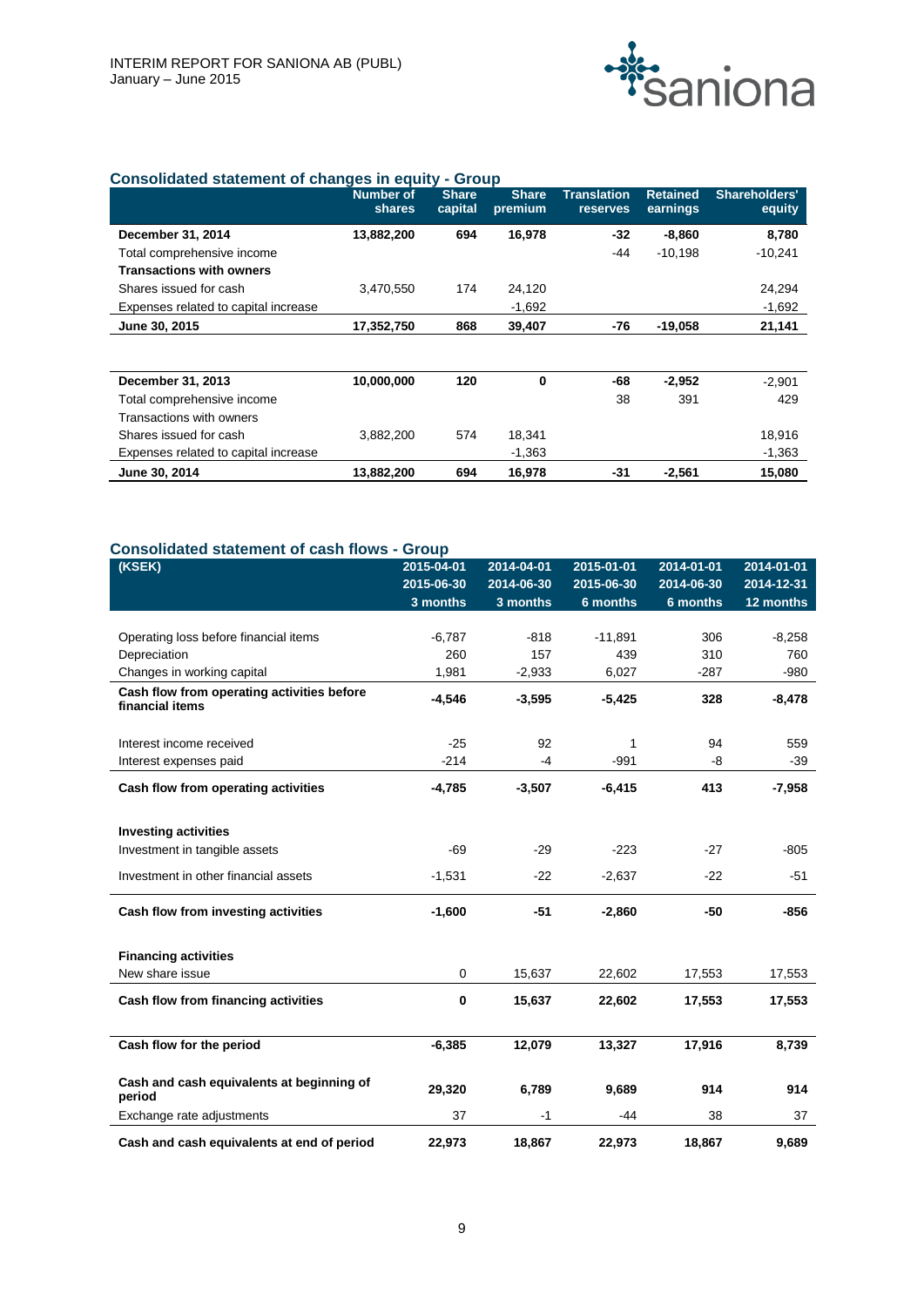

# **Consolidated statement of changes in equity - Group**

|                                      | <b>Number of</b><br>shares | <b>Share</b><br>capital | <b>Share</b><br>premium | <b>Translation</b><br><b>reserves</b> | <b>Retained</b><br>earnings | Shareholders'<br>equity |
|--------------------------------------|----------------------------|-------------------------|-------------------------|---------------------------------------|-----------------------------|-------------------------|
| December 31, 2014                    | 13,882,200                 | 694                     | 16,978                  | $-32$                                 | $-8,860$                    | 8,780                   |
| Total comprehensive income           |                            |                         |                         | -44                                   | $-10,198$                   | $-10,241$               |
| <b>Transactions with owners</b>      |                            |                         |                         |                                       |                             |                         |
| Shares issued for cash               | 3,470,550                  | 174                     | 24,120                  |                                       |                             | 24,294                  |
| Expenses related to capital increase |                            |                         | $-1,692$                |                                       |                             | $-1,692$                |
| June 30, 2015                        | 17,352,750                 | 868                     | 39,407                  | -76                                   | $-19,058$                   | 21,141                  |
|                                      |                            |                         |                         |                                       |                             |                         |
| December 31, 2013                    | 10,000,000                 | 120                     | 0                       | -68                                   | $-2,952$                    | $-2,901$                |
| Total comprehensive income           |                            |                         |                         | 38                                    | 391                         | 429                     |
| Transactions with owners             |                            |                         |                         |                                       |                             |                         |
| Shares issued for cash               | 3,882,200                  | 574                     | 18,341                  |                                       |                             | 18,916                  |
| Expenses related to capital increase |                            |                         | $-1,363$                |                                       |                             | $-1,363$                |
| June 30, 2014                        | 13,882,200                 | 694                     | 16,978                  | -31                                   | $-2,561$                    | 15,080                  |

# **Consolidated statement of cash flows - Group**

| (KSEK)                                                        | 2015-04-01<br>2015-06-30 | 2014-04-01<br>2014-06-30 | 2015-01-01<br>2015-06-30 | 2014-01-01<br>2014-06-30 | 2014-01-01<br>2014-12-31 |
|---------------------------------------------------------------|--------------------------|--------------------------|--------------------------|--------------------------|--------------------------|
|                                                               | 3 months                 | 3 months                 | 6 months                 | 6 months                 | 12 months                |
|                                                               |                          |                          |                          |                          |                          |
| Operating loss before financial items                         | $-6,787$                 | $-818$                   | $-11,891$                | 306                      | $-8,258$                 |
| Depreciation                                                  | 260                      | 157                      | 439                      | 310                      | 760                      |
| Changes in working capital                                    | 1,981                    | $-2,933$                 | 6,027                    | $-287$                   | $-980$                   |
| Cash flow from operating activities before<br>financial items | $-4,546$                 | $-3,595$                 | $-5,425$                 | 328                      | $-8,478$                 |
| Interest income received                                      | $-25$                    | 92                       | 1                        | 94                       | 559                      |
| Interest expenses paid                                        | $-214$                   | $-4$                     | $-991$                   | -8                       | $-39$                    |
| Cash flow from operating activities                           | $-4,785$                 | $-3,507$                 | $-6,415$                 | 413                      | $-7,958$                 |
| <b>Investing activities</b>                                   |                          |                          |                          |                          |                          |
| Investment in tangible assets                                 | $-69$                    | $-29$                    | $-223$                   | $-27$                    | $-805$                   |
| Investment in other financial assets                          | $-1,531$                 | $-22$                    | $-2,637$                 | $-22$                    | $-51$                    |
| Cash flow from investing activities                           | $-1,600$                 | $-51$                    | $-2,860$                 | $-50$                    | $-856$                   |
| <b>Financing activities</b>                                   |                          |                          |                          |                          |                          |
| New share issue                                               | $\mathbf 0$              | 15,637                   | 22,602                   | 17,553                   | 17,553                   |
| Cash flow from financing activities                           | 0                        | 15,637                   | 22,602                   | 17,553                   | 17,553                   |
| Cash flow for the period                                      | $-6,385$                 | 12,079                   | 13,327                   | 17,916                   | 8,739                    |
| Cash and cash equivalents at beginning of<br>period           | 29,320                   | 6,789                    | 9,689                    | 914                      | 914                      |
| Exchange rate adjustments                                     | 37                       | -1                       | -44                      | 38                       | 37                       |
| Cash and cash equivalents at end of period                    | 22,973                   | 18,867                   | 22,973                   | 18,867                   | 9,689                    |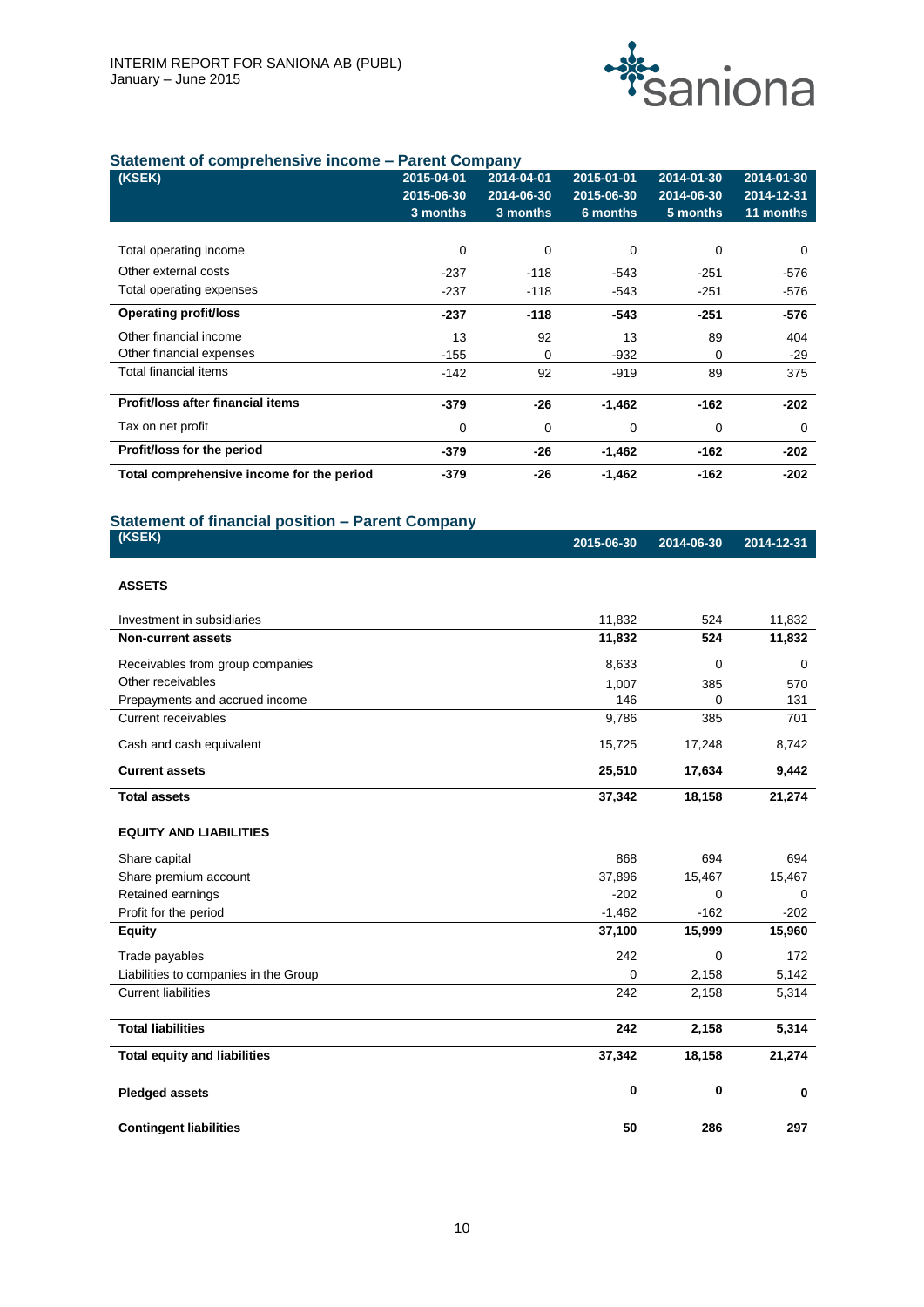

# **Statement of comprehensive income – Parent Company**

|                                           |            | Pau,       |            |            |            |
|-------------------------------------------|------------|------------|------------|------------|------------|
| (KSEK)                                    | 2015-04-01 | 2014-04-01 | 2015-01-01 | 2014-01-30 | 2014-01-30 |
|                                           | 2015-06-30 | 2014-06-30 | 2015-06-30 | 2014-06-30 | 2014-12-31 |
|                                           | 3 months   | 3 months   | 6 months   | 5 months   | 11 months  |
|                                           |            |            |            |            |            |
| Total operating income                    | 0          | 0          | 0          | 0          | 0          |
| Other external costs                      | $-237$     | $-118$     | $-543$     | $-251$     | $-576$     |
| Total operating expenses                  | $-237$     | $-118$     | $-543$     | $-251$     | $-576$     |
| <b>Operating profit/loss</b>              | $-237$     | $-118$     | -543       | $-251$     | $-576$     |
| Other financial income                    | 13         | 92         | 13         | 89         | 404        |
| Other financial expenses                  | $-155$     | 0          | -932       | 0          | $-29$      |
| Total financial items                     | $-142$     | 92         | $-919$     | 89         | 375        |
| Profit/loss after financial items         | $-379$     | $-26$      | $-1,462$   | $-162$     | $-202$     |
| Tax on net profit                         | 0          | 0          | 0          | 0          | 0          |
| Profit/loss for the period                | $-379$     | $-26$      | $-1,462$   | $-162$     | $-202$     |
| Total comprehensive income for the period | $-379$     | $-26$      | $-1,462$   | $-162$     | $-202$     |

# **Statement of financial position – Parent Company**

| (KSEK)        | 2015-06-30 2014-06-30 2014-12-31 |  |
|---------------|----------------------------------|--|
| <b>ASSETS</b> |                                  |  |

| Investment in subsidiaries            | 11,832   | 524      | 11,832   |
|---------------------------------------|----------|----------|----------|
| <b>Non-current assets</b>             | 11,832   | 524      | 11,832   |
| Receivables from group companies      | 8,633    | $\Omega$ | $\Omega$ |
| Other receivables                     | 1,007    | 385      | 570      |
| Prepayments and accrued income        | 146      | 0        | 131      |
| <b>Current receivables</b>            | 9,786    | 385      | 701      |
| Cash and cash equivalent              | 15,725   | 17,248   | 8,742    |
| <b>Current assets</b>                 | 25,510   | 17,634   | 9,442    |
| <b>Total assets</b>                   | 37,342   | 18,158   | 21,274   |
| <b>EQUITY AND LIABILITIES</b>         |          |          |          |
| Share capital                         | 868      | 694      | 694      |
| Share premium account                 | 37,896   | 15,467   | 15,467   |
| Retained earnings                     | $-202$   | $\Omega$ | $\Omega$ |
| Profit for the period                 | $-1,462$ | $-162$   | $-202$   |
| <b>Equity</b>                         | 37,100   | 15,999   | 15,960   |
| Trade payables                        | 242      | 0        | 172      |
| Liabilities to companies in the Group | 0        | 2,158    | 5,142    |
| <b>Current liabilities</b>            | 242      | 2,158    | 5,314    |
| <b>Total liabilities</b>              | 242      | 2,158    | 5,314    |
| <b>Total equity and liabilities</b>   | 37,342   | 18,158   | 21,274   |
| <b>Pledged assets</b>                 | 0        | 0        | 0        |

**Contingent liabilities 50 286 297**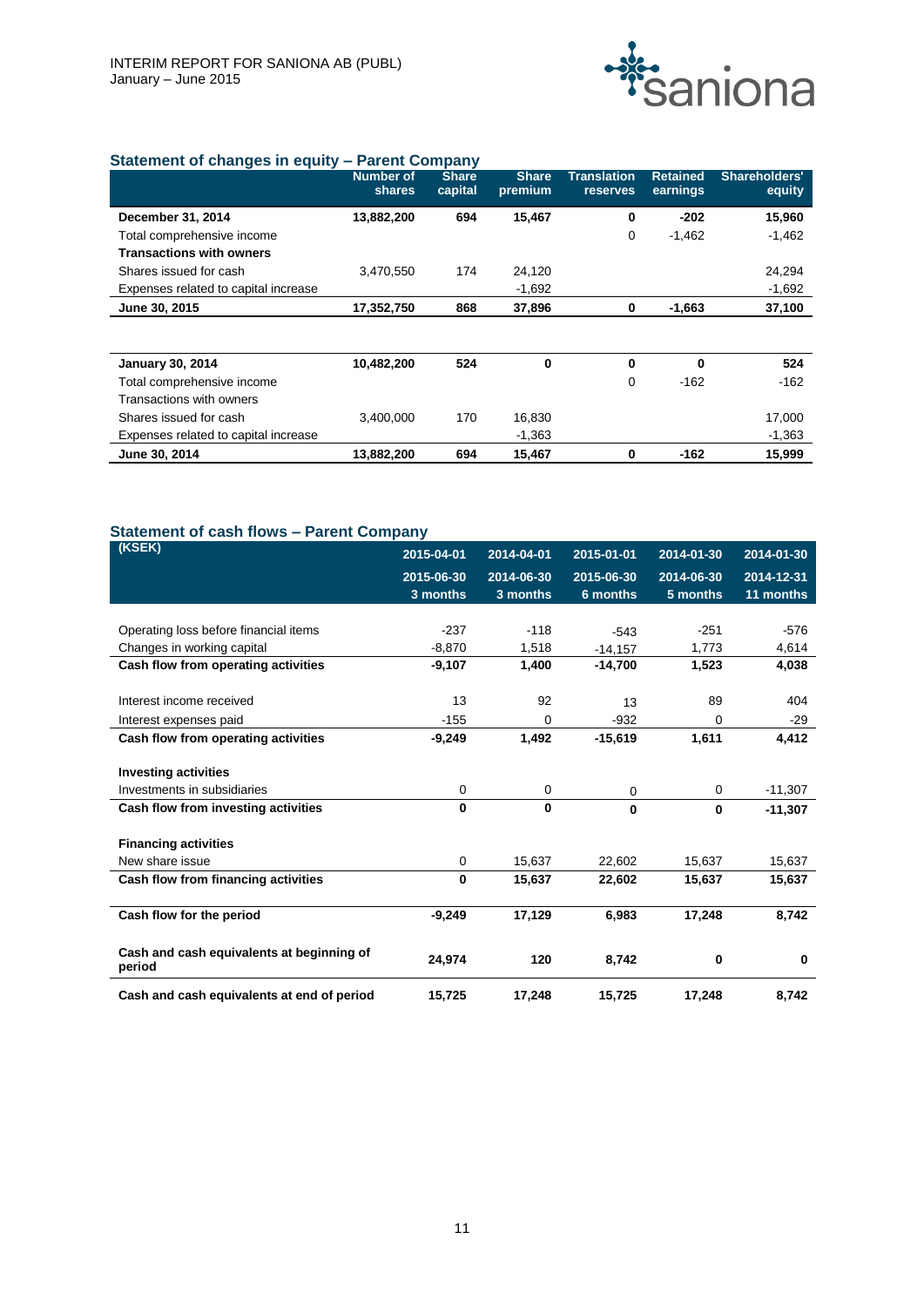

# **Statement of changes in equity – Parent Company**

|                                      | <b>Number of</b><br>shares | <b>Share</b><br>capital | <b>Share</b><br>premium | <b>Translation</b><br><b>reserves</b> | <b>Retained</b><br>earnings | Shareholders'<br>equity |
|--------------------------------------|----------------------------|-------------------------|-------------------------|---------------------------------------|-----------------------------|-------------------------|
| December 31, 2014                    | 13,882,200                 | 694                     | 15,467                  | 0                                     | $-202$                      | 15,960                  |
| Total comprehensive income           |                            |                         |                         | 0                                     | $-1,462$                    | $-1,462$                |
| <b>Transactions with owners</b>      |                            |                         |                         |                                       |                             |                         |
| Shares issued for cash               | 3,470,550                  | 174                     | 24,120                  |                                       |                             | 24,294                  |
| Expenses related to capital increase |                            |                         | $-1,692$                |                                       |                             | $-1,692$                |
| June 30, 2015                        | 17,352,750                 | 868                     | 37,896                  | 0                                     | $-1,663$                    | 37,100                  |
|                                      |                            |                         |                         |                                       |                             |                         |
| <b>January 30, 2014</b>              | 10,482,200                 | 524                     | 0                       | $\mathbf 0$                           | $\bf{0}$                    | 524                     |
| Total comprehensive income           |                            |                         |                         | 0                                     | $-162$                      | $-162$                  |
| Transactions with owners             |                            |                         |                         |                                       |                             |                         |
| Shares issued for cash               | 3,400,000                  | 170                     | 16,830                  |                                       |                             | 17,000                  |
| Expenses related to capital increase |                            |                         | $-1,363$                |                                       |                             | $-1,363$                |
| June 30, 2014                        | 13,882,200                 | 694                     | 15,467                  | 0                                     | $-162$                      | 15,999                  |

# **Statement of cash flows – Parent Company**

| (KSEK)                                              | 2015-04-01 | 2014-04-01  | 2015-01-01 | 2014-01-30 | 2014-01-30 |
|-----------------------------------------------------|------------|-------------|------------|------------|------------|
|                                                     | 2015-06-30 | 2014-06-30  | 2015-06-30 | 2014-06-30 | 2014-12-31 |
|                                                     | 3 months   | 3 months    | 6 months   | 5 months   | 11 months  |
|                                                     |            |             |            |            |            |
| Operating loss before financial items               | $-237$     | $-118$      | $-543$     | $-251$     | $-576$     |
| Changes in working capital                          | $-8,870$   | 1,518       | $-14,157$  | 1,773      | 4,614      |
| Cash flow from operating activities                 | $-9,107$   | 1,400       | $-14.700$  | 1,523      | 4,038      |
|                                                     |            |             |            |            |            |
| Interest income received                            | 13         | 92          | 13         | 89         | 404        |
| Interest expenses paid                              | $-155$     | 0           | $-932$     | 0          | $-29$      |
| Cash flow from operating activities                 | $-9,249$   | 1,492       | $-15,619$  | 1,611      | 4,412      |
|                                                     |            |             |            |            |            |
| <b>Investing activities</b>                         |            |             |            |            |            |
| Investments in subsidiaries                         | 0          | 0           | 0          | 0          | $-11,307$  |
| Cash flow from investing activities                 | 0          | $\mathbf 0$ | $\bf{0}$   | $\bf{0}$   | $-11,307$  |
|                                                     |            |             |            |            |            |
| <b>Financing activities</b>                         |            |             |            |            |            |
| New share issue                                     | 0          | 15,637      | 22,602     | 15,637     | 15,637     |
| Cash flow from financing activities                 | 0          | 15,637      | 22,602     | 15,637     | 15,637     |
|                                                     |            |             |            |            |            |
| Cash flow for the period                            | $-9,249$   | 17,129      | 6,983      | 17,248     | 8,742      |
|                                                     |            |             |            |            |            |
| Cash and cash equivalents at beginning of<br>period | 24,974     | 120         | 8,742      | 0          | $\bf{0}$   |
| Cash and cash equivalents at end of period          | 15,725     | 17,248      | 15,725     | 17,248     | 8,742      |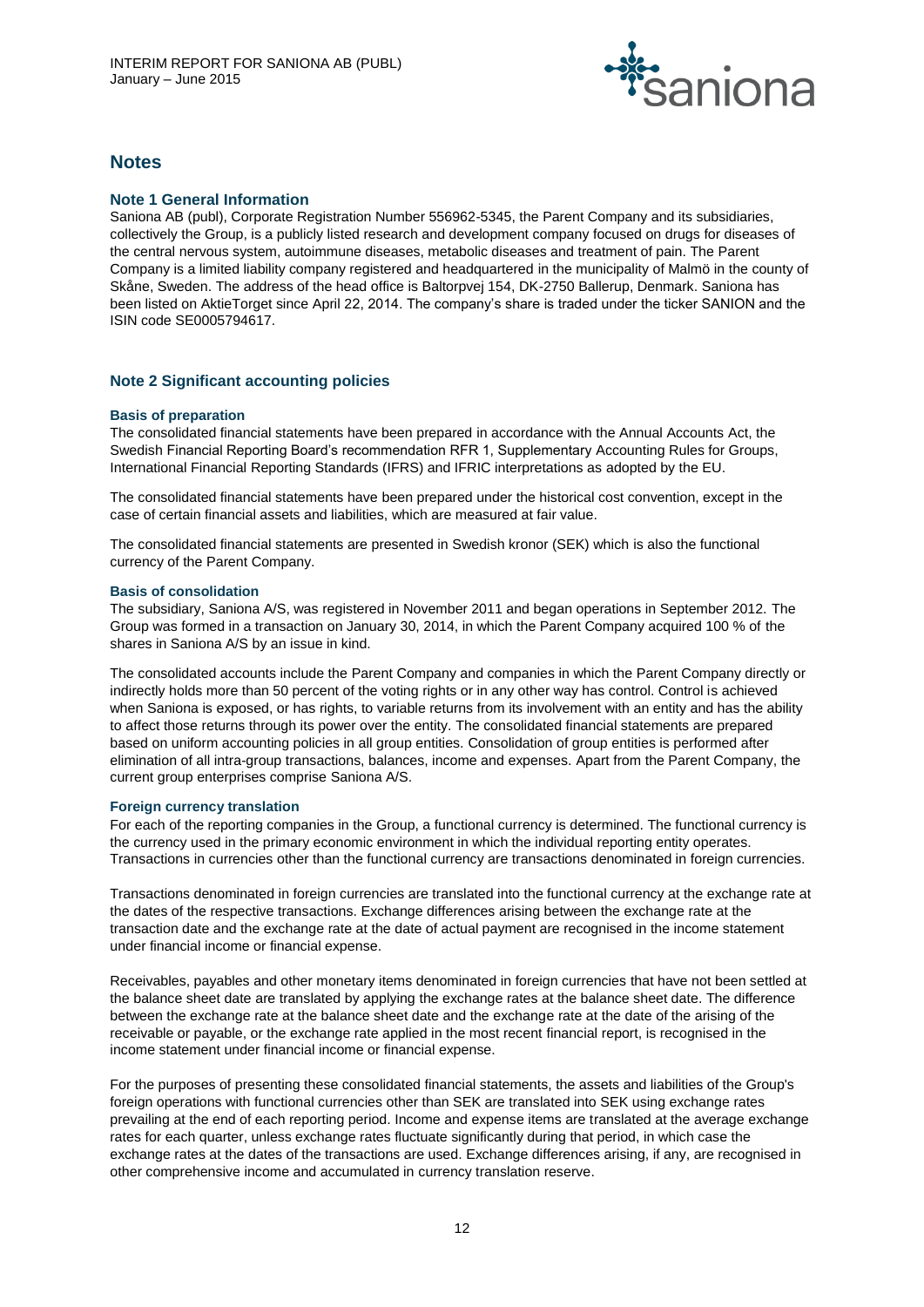

# **Notes**

# **Note 1 General Information**

Saniona AB (publ), Corporate Registration Number 556962-5345, the Parent Company and its subsidiaries, collectively the Group, is a publicly listed research and development company focused on drugs for diseases of the central nervous system, autoimmune diseases, metabolic diseases and treatment of pain. The Parent Company is a limited liability company registered and headquartered in the municipality of Malmö in the county of Skåne, Sweden. The address of the head office is Baltorpvej 154, DK-2750 Ballerup, Denmark. Saniona has been listed on AktieTorget since April 22, 2014. The company's share is traded under the ticker SANION and the ISIN code SE0005794617.

# **Note 2 Significant accounting policies**

# **Basis of preparation**

The consolidated financial statements have been prepared in accordance with the Annual Accounts Act, the Swedish Financial Reporting Board's recommendation RFR 1, Supplementary Accounting Rules for Groups, International Financial Reporting Standards (IFRS) and IFRIC interpretations as adopted by the EU.

The consolidated financial statements have been prepared under the historical cost convention, except in the case of certain financial assets and liabilities, which are measured at fair value.

The consolidated financial statements are presented in Swedish kronor (SEK) which is also the functional currency of the Parent Company.

#### **Basis of consolidation**

The subsidiary, Saniona A/S, was registered in November 2011 and began operations in September 2012. The Group was formed in a transaction on January 30, 2014, in which the Parent Company acquired 100 % of the shares in Saniona A/S by an issue in kind.

The consolidated accounts include the Parent Company and companies in which the Parent Company directly or indirectly holds more than 50 percent of the voting rights or in any other way has control. Control is achieved when Saniona is exposed, or has rights, to variable returns from its involvement with an entity and has the ability to affect those returns through its power over the entity. The consolidated financial statements are prepared based on uniform accounting policies in all group entities. Consolidation of group entities is performed after elimination of all intra-group transactions, balances, income and expenses. Apart from the Parent Company, the current group enterprises comprise Saniona A/S.

#### **Foreign currency translation**

For each of the reporting companies in the Group, a functional currency is determined. The functional currency is the currency used in the primary economic environment in which the individual reporting entity operates. Transactions in currencies other than the functional currency are transactions denominated in foreign currencies.

Transactions denominated in foreign currencies are translated into the functional currency at the exchange rate at the dates of the respective transactions. Exchange differences arising between the exchange rate at the transaction date and the exchange rate at the date of actual payment are recognised in the income statement under financial income or financial expense.

Receivables, payables and other monetary items denominated in foreign currencies that have not been settled at the balance sheet date are translated by applying the exchange rates at the balance sheet date. The difference between the exchange rate at the balance sheet date and the exchange rate at the date of the arising of the receivable or payable, or the exchange rate applied in the most recent financial report, is recognised in the income statement under financial income or financial expense.

For the purposes of presenting these consolidated financial statements, the assets and liabilities of the Group's foreign operations with functional currencies other than SEK are translated into SEK using exchange rates prevailing at the end of each reporting period. Income and expense items are translated at the average exchange rates for each quarter, unless exchange rates fluctuate significantly during that period, in which case the exchange rates at the dates of the transactions are used. Exchange differences arising, if any, are recognised in other comprehensive income and accumulated in currency translation reserve.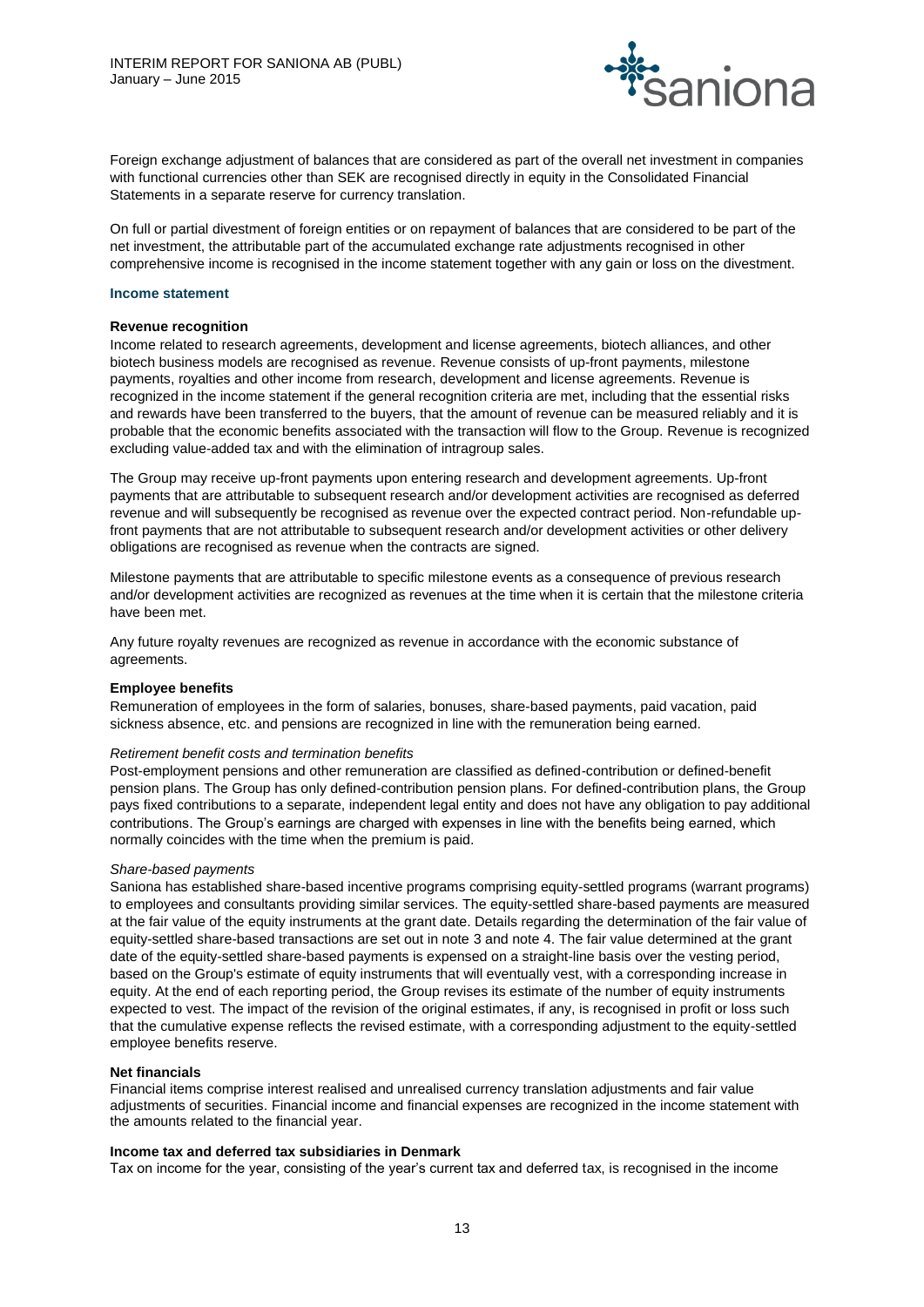

Foreign exchange adjustment of balances that are considered as part of the overall net investment in companies with functional currencies other than SEK are recognised directly in equity in the Consolidated Financial Statements in a separate reserve for currency translation.

On full or partial divestment of foreign entities or on repayment of balances that are considered to be part of the net investment, the attributable part of the accumulated exchange rate adjustments recognised in other comprehensive income is recognised in the income statement together with any gain or loss on the divestment.

#### **Income statement**

#### **Revenue recognition**

Income related to research agreements, development and license agreements, biotech alliances, and other biotech business models are recognised as revenue. Revenue consists of up-front payments, milestone payments, royalties and other income from research, development and license agreements. Revenue is recognized in the income statement if the general recognition criteria are met, including that the essential risks and rewards have been transferred to the buyers, that the amount of revenue can be measured reliably and it is probable that the economic benefits associated with the transaction will flow to the Group. Revenue is recognized excluding value-added tax and with the elimination of intragroup sales.

The Group may receive up-front payments upon entering research and development agreements. Up-front payments that are attributable to subsequent research and/or development activities are recognised as deferred revenue and will subsequently be recognised as revenue over the expected contract period. Non-refundable upfront payments that are not attributable to subsequent research and/or development activities or other delivery obligations are recognised as revenue when the contracts are signed.

Milestone payments that are attributable to specific milestone events as a consequence of previous research and/or development activities are recognized as revenues at the time when it is certain that the milestone criteria have been met.

Any future royalty revenues are recognized as revenue in accordance with the economic substance of agreements.

#### **Employee benefits**

Remuneration of employees in the form of salaries, bonuses, share-based payments, paid vacation, paid sickness absence, etc. and pensions are recognized in line with the remuneration being earned.

#### *Retirement benefit costs and termination benefits*

Post-employment pensions and other remuneration are classified as defined-contribution or defined-benefit pension plans. The Group has only defined-contribution pension plans. For defined-contribution plans, the Group pays fixed contributions to a separate, independent legal entity and does not have any obligation to pay additional contributions. The Group's earnings are charged with expenses in line with the benefits being earned, which normally coincides with the time when the premium is paid.

#### *Share-based payments*

Saniona has established share-based incentive programs comprising equity-settled programs (warrant programs) to employees and consultants providing similar services. The equity-settled share-based payments are measured at the fair value of the equity instruments at the grant date. Details regarding the determination of the fair value of equity-settled share-based transactions are set out in note 3 and note 4. The fair value determined at the grant date of the equity-settled share-based payments is expensed on a straight-line basis over the vesting period, based on the Group's estimate of equity instruments that will eventually vest, with a corresponding increase in equity. At the end of each reporting period, the Group revises its estimate of the number of equity instruments expected to vest. The impact of the revision of the original estimates, if any, is recognised in profit or loss such that the cumulative expense reflects the revised estimate, with a corresponding adjustment to the equity-settled employee benefits reserve.

#### **Net financials**

Financial items comprise interest realised and unrealised currency translation adjustments and fair value adjustments of securities. Financial income and financial expenses are recognized in the income statement with the amounts related to the financial year.

# **Income tax and deferred tax subsidiaries in Denmark**

Tax on income for the year, consisting of the year's current tax and deferred tax, is recognised in the income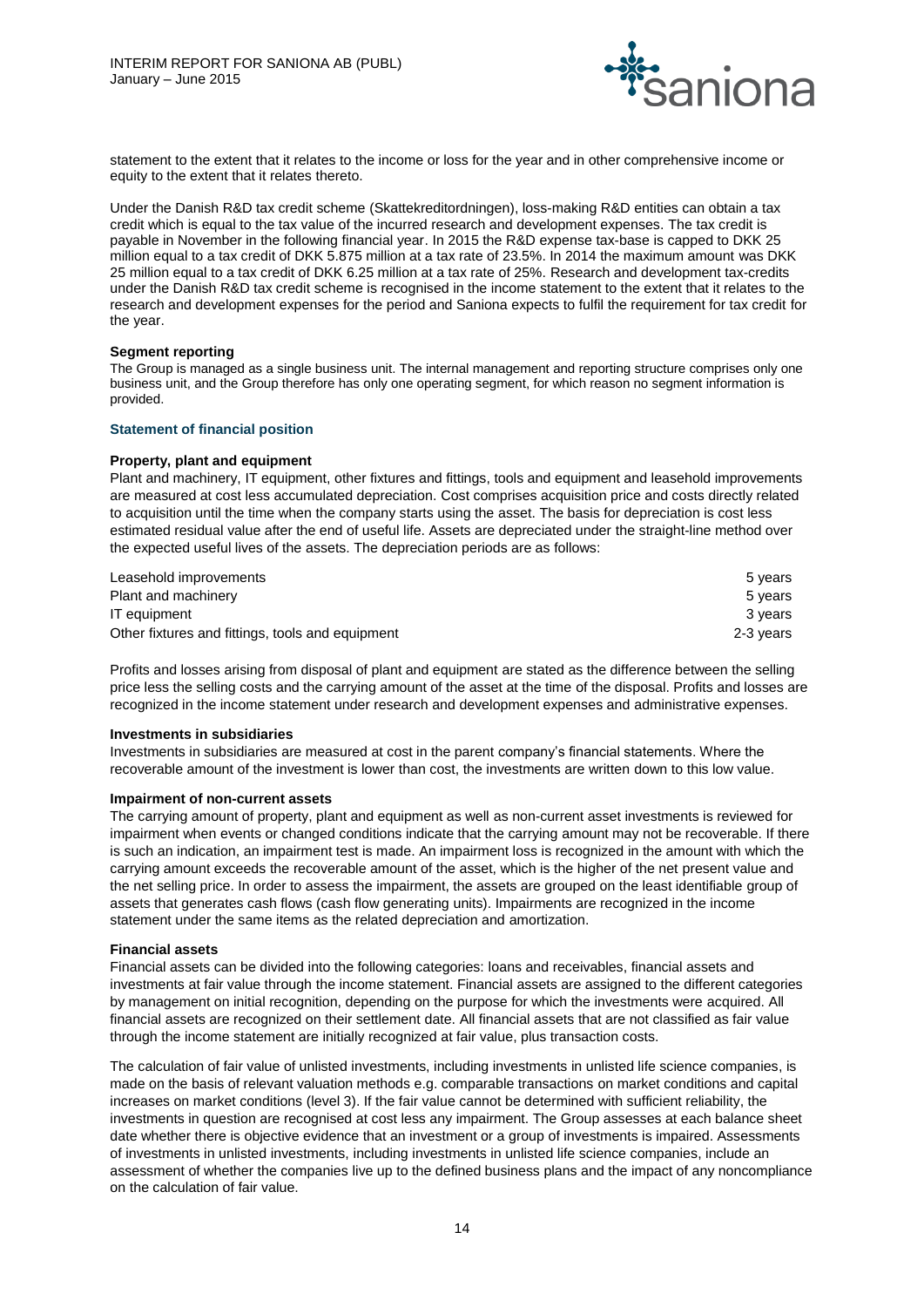

statement to the extent that it relates to the income or loss for the year and in other comprehensive income or equity to the extent that it relates thereto.

Under the Danish R&D tax credit scheme (Skattekreditordningen), loss-making R&D entities can obtain a tax credit which is equal to the tax value of the incurred research and development expenses. The tax credit is payable in November in the following financial year. In 2015 the R&D expense tax-base is capped to DKK 25 million equal to a tax credit of DKK 5.875 million at a tax rate of 23.5%. In 2014 the maximum amount was DKK 25 million equal to a tax credit of DKK 6.25 million at a tax rate of 25%. Research and development tax-credits under the Danish R&D tax credit scheme is recognised in the income statement to the extent that it relates to the research and development expenses for the period and Saniona expects to fulfil the requirement for tax credit for the year.

#### **Segment reporting**

The Group is managed as a single business unit. The internal management and reporting structure comprises only one business unit, and the Group therefore has only one operating segment, for which reason no segment information is provided.

# **Statement of financial position**

# **Property, plant and equipment**

Plant and machinery, IT equipment, other fixtures and fittings, tools and equipment and leasehold improvements are measured at cost less accumulated depreciation. Cost comprises acquisition price and costs directly related to acquisition until the time when the company starts using the asset. The basis for depreciation is cost less estimated residual value after the end of useful life. Assets are depreciated under the straight-line method over the expected useful lives of the assets. The depreciation periods are as follows:

| Leasehold improvements                           | 5 vears   |
|--------------------------------------------------|-----------|
| Plant and machinery                              | 5 years   |
| IT eauipment                                     | 3 vears   |
| Other fixtures and fittings, tools and equipment | 2-3 vears |

Profits and losses arising from disposal of plant and equipment are stated as the difference between the selling price less the selling costs and the carrying amount of the asset at the time of the disposal. Profits and losses are recognized in the income statement under research and development expenses and administrative expenses.

#### **Investments in subsidiaries**

Investments in subsidiaries are measured at cost in the parent company's financial statements. Where the recoverable amount of the investment is lower than cost, the investments are written down to this low value.

#### **Impairment of non-current assets**

The carrying amount of property, plant and equipment as well as non-current asset investments is reviewed for impairment when events or changed conditions indicate that the carrying amount may not be recoverable. If there is such an indication, an impairment test is made. An impairment loss is recognized in the amount with which the carrying amount exceeds the recoverable amount of the asset, which is the higher of the net present value and the net selling price. In order to assess the impairment, the assets are grouped on the least identifiable group of assets that generates cash flows (cash flow generating units). Impairments are recognized in the income statement under the same items as the related depreciation and amortization.

#### **Financial assets**

Financial assets can be divided into the following categories: loans and receivables, financial assets and investments at fair value through the income statement. Financial assets are assigned to the different categories by management on initial recognition, depending on the purpose for which the investments were acquired. All financial assets are recognized on their settlement date. All financial assets that are not classified as fair value through the income statement are initially recognized at fair value, plus transaction costs.

The calculation of fair value of unlisted investments, including investments in unlisted life science companies, is made on the basis of relevant valuation methods e.g. comparable transactions on market conditions and capital increases on market conditions (level 3). If the fair value cannot be determined with sufficient reliability, the investments in question are recognised at cost less any impairment. The Group assesses at each balance sheet date whether there is objective evidence that an investment or a group of investments is impaired. Assessments of investments in unlisted investments, including investments in unlisted life science companies, include an assessment of whether the companies live up to the defined business plans and the impact of any noncompliance on the calculation of fair value.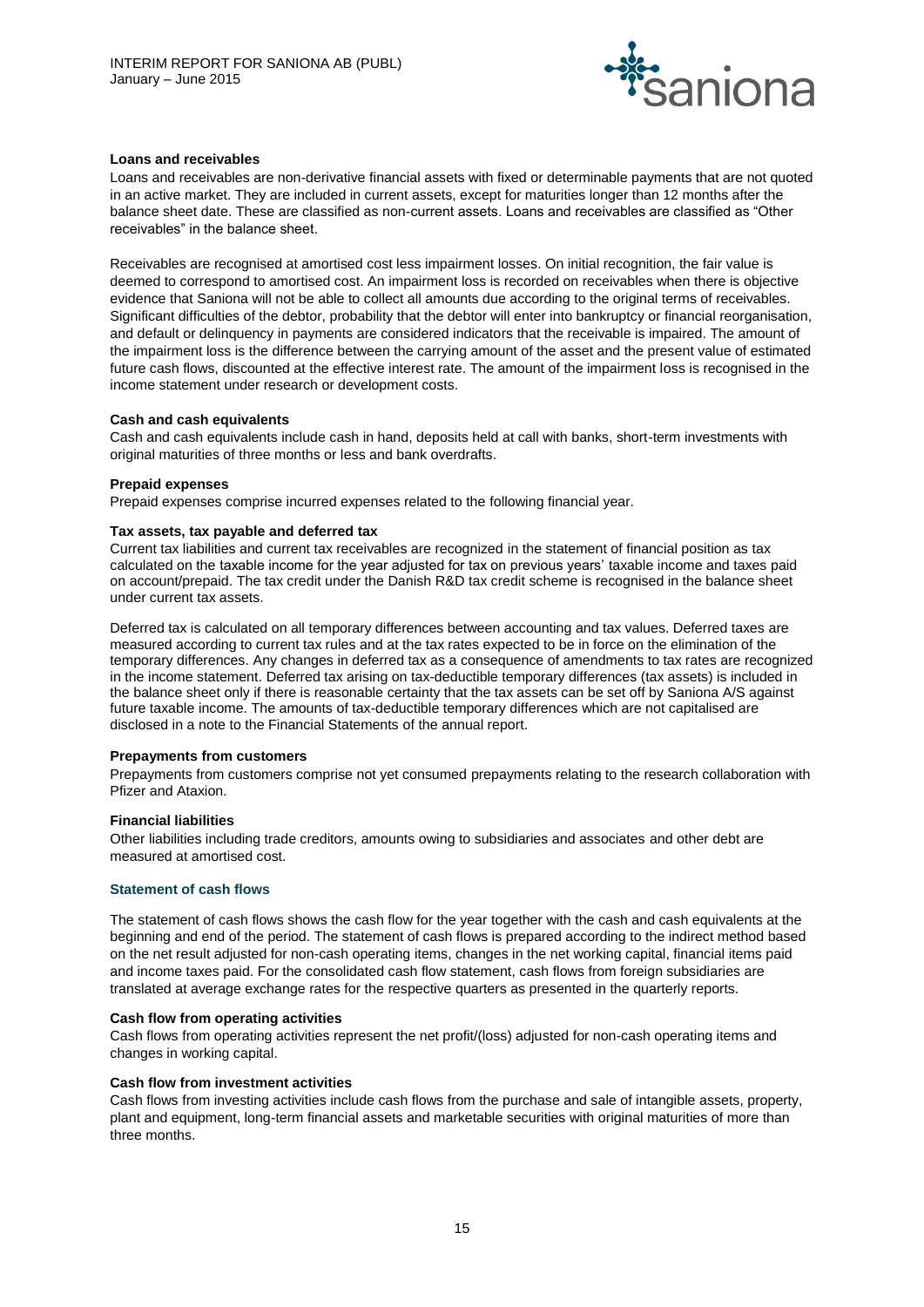

# **Loans and receivables**

Loans and receivables are non-derivative financial assets with fixed or determinable payments that are not quoted in an active market. They are included in current assets, except for maturities longer than 12 months after the balance sheet date. These are classified as non-current assets. Loans and receivables are classified as "Other receivables" in the balance sheet.

Receivables are recognised at amortised cost less impairment losses. On initial recognition, the fair value is deemed to correspond to amortised cost. An impairment loss is recorded on receivables when there is objective evidence that Saniona will not be able to collect all amounts due according to the original terms of receivables. Significant difficulties of the debtor, probability that the debtor will enter into bankruptcy or financial reorganisation, and default or delinquency in payments are considered indicators that the receivable is impaired. The amount of the impairment loss is the difference between the carrying amount of the asset and the present value of estimated future cash flows, discounted at the effective interest rate. The amount of the impairment loss is recognised in the income statement under research or development costs.

# **Cash and cash equivalents**

Cash and cash equivalents include cash in hand, deposits held at call with banks, short-term investments with original maturities of three months or less and bank overdrafts.

#### **Prepaid expenses**

Prepaid expenses comprise incurred expenses related to the following financial year.

# **Tax assets, tax payable and deferred tax**

Current tax liabilities and current tax receivables are recognized in the statement of financial position as tax calculated on the taxable income for the year adjusted for tax on previous years' taxable income and taxes paid on account/prepaid. The tax credit under the Danish R&D tax credit scheme is recognised in the balance sheet under current tax assets.

Deferred tax is calculated on all temporary differences between accounting and tax values. Deferred taxes are measured according to current tax rules and at the tax rates expected to be in force on the elimination of the temporary differences. Any changes in deferred tax as a consequence of amendments to tax rates are recognized in the income statement. Deferred tax arising on tax-deductible temporary differences (tax assets) is included in the balance sheet only if there is reasonable certainty that the tax assets can be set off by Saniona A/S against future taxable income. The amounts of tax-deductible temporary differences which are not capitalised are disclosed in a note to the Financial Statements of the annual report.

#### **Prepayments from customers**

Prepayments from customers comprise not yet consumed prepayments relating to the research collaboration with Pfizer and Ataxion.

#### **Financial liabilities**

Other liabilities including trade creditors, amounts owing to subsidiaries and associates and other debt are measured at amortised cost.

#### **Statement of cash flows**

The statement of cash flows shows the cash flow for the year together with the cash and cash equivalents at the beginning and end of the period. The statement of cash flows is prepared according to the indirect method based on the net result adjusted for non-cash operating items, changes in the net working capital, financial items paid and income taxes paid. For the consolidated cash flow statement, cash flows from foreign subsidiaries are translated at average exchange rates for the respective quarters as presented in the quarterly reports.

#### **Cash flow from operating activities**

Cash flows from operating activities represent the net profit/(loss) adjusted for non-cash operating items and changes in working capital.

#### **Cash flow from investment activities**

Cash flows from investing activities include cash flows from the purchase and sale of intangible assets, property, plant and equipment, long-term financial assets and marketable securities with original maturities of more than three months.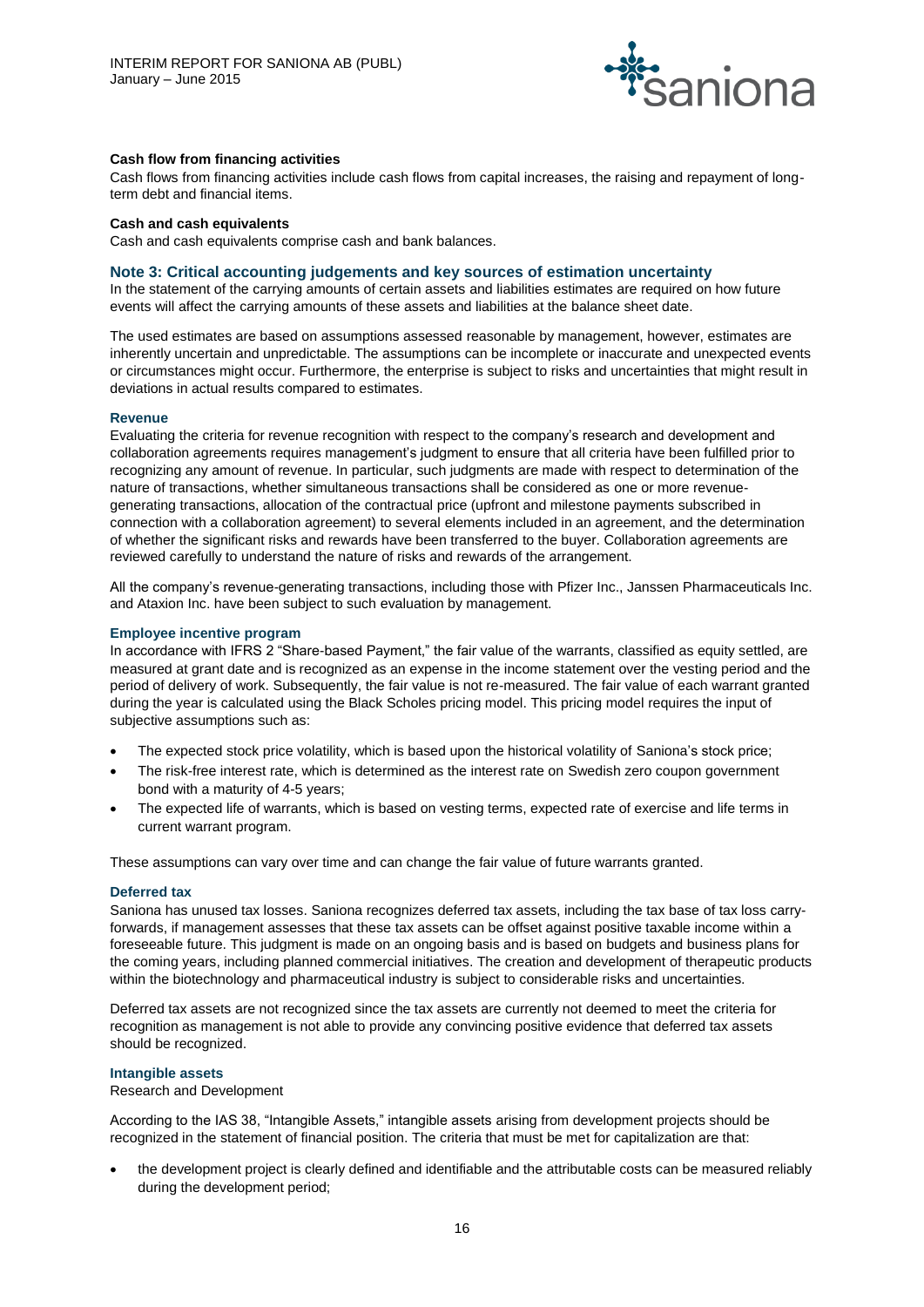

# **Cash flow from financing activities**

Cash flows from financing activities include cash flows from capital increases, the raising and repayment of longterm debt and financial items.

#### **Cash and cash equivalents**

Cash and cash equivalents comprise cash and bank balances.

#### **Note 3: Critical accounting judgements and key sources of estimation uncertainty**

In the statement of the carrying amounts of certain assets and liabilities estimates are required on how future events will affect the carrying amounts of these assets and liabilities at the balance sheet date.

The used estimates are based on assumptions assessed reasonable by management, however, estimates are inherently uncertain and unpredictable. The assumptions can be incomplete or inaccurate and unexpected events or circumstances might occur. Furthermore, the enterprise is subject to risks and uncertainties that might result in deviations in actual results compared to estimates.

#### **Revenue**

Evaluating the criteria for revenue recognition with respect to the company's research and development and collaboration agreements requires management's judgment to ensure that all criteria have been fulfilled prior to recognizing any amount of revenue. In particular, such judgments are made with respect to determination of the nature of transactions, whether simultaneous transactions shall be considered as one or more revenuegenerating transactions, allocation of the contractual price (upfront and milestone payments subscribed in connection with a collaboration agreement) to several elements included in an agreement, and the determination of whether the significant risks and rewards have been transferred to the buyer. Collaboration agreements are reviewed carefully to understand the nature of risks and rewards of the arrangement.

All the company's revenue-generating transactions, including those with Pfizer Inc., Janssen Pharmaceuticals Inc. and Ataxion Inc. have been subject to such evaluation by management.

#### **Employee incentive program**

In accordance with IFRS 2 "Share-based Payment," the fair value of the warrants, classified as equity settled, are measured at grant date and is recognized as an expense in the income statement over the vesting period and the period of delivery of work. Subsequently, the fair value is not re-measured. The fair value of each warrant granted during the year is calculated using the Black Scholes pricing model. This pricing model requires the input of subjective assumptions such as:

- The expected stock price volatility, which is based upon the historical volatility of Saniona's stock price;
- The risk-free interest rate, which is determined as the interest rate on Swedish zero coupon government bond with a maturity of 4-5 years;
- The expected life of warrants, which is based on vesting terms, expected rate of exercise and life terms in current warrant program.

These assumptions can vary over time and can change the fair value of future warrants granted.

#### **Deferred tax**

Saniona has unused tax losses. Saniona recognizes deferred tax assets, including the tax base of tax loss carryforwards, if management assesses that these tax assets can be offset against positive taxable income within a foreseeable future. This judgment is made on an ongoing basis and is based on budgets and business plans for the coming years, including planned commercial initiatives. The creation and development of therapeutic products within the biotechnology and pharmaceutical industry is subject to considerable risks and uncertainties.

Deferred tax assets are not recognized since the tax assets are currently not deemed to meet the criteria for recognition as management is not able to provide any convincing positive evidence that deferred tax assets should be recognized.

#### **Intangible assets**

Research and Development

According to the IAS 38, "Intangible Assets," intangible assets arising from development projects should be recognized in the statement of financial position. The criteria that must be met for capitalization are that:

 the development project is clearly defined and identifiable and the attributable costs can be measured reliably during the development period;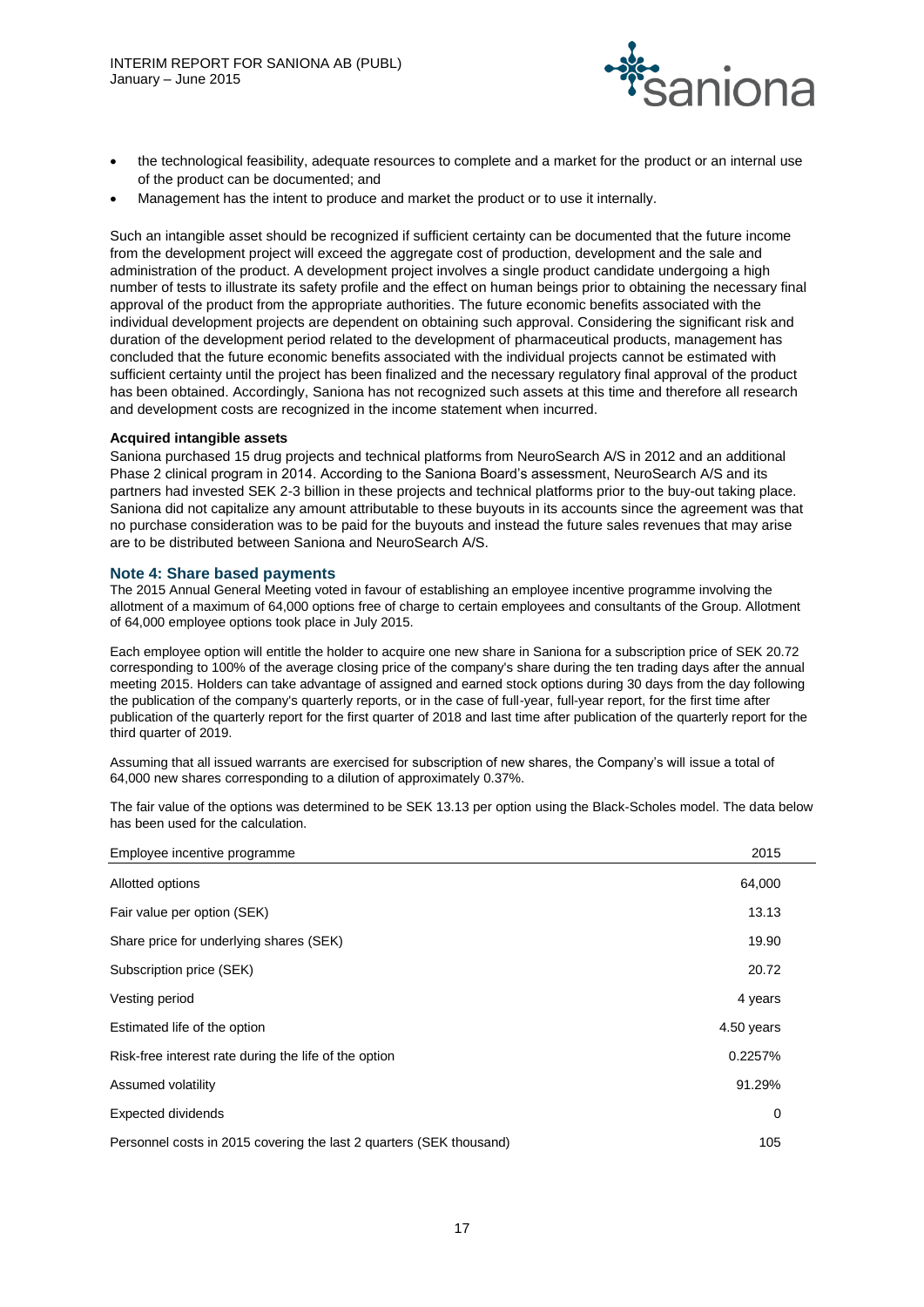

- the technological feasibility, adequate resources to complete and a market for the product or an internal use of the product can be documented; and
- Management has the intent to produce and market the product or to use it internally.

Such an intangible asset should be recognized if sufficient certainty can be documented that the future income from the development project will exceed the aggregate cost of production, development and the sale and administration of the product. A development project involves a single product candidate undergoing a high number of tests to illustrate its safety profile and the effect on human beings prior to obtaining the necessary final approval of the product from the appropriate authorities. The future economic benefits associated with the individual development projects are dependent on obtaining such approval. Considering the significant risk and duration of the development period related to the development of pharmaceutical products, management has concluded that the future economic benefits associated with the individual projects cannot be estimated with sufficient certainty until the project has been finalized and the necessary regulatory final approval of the product has been obtained. Accordingly, Saniona has not recognized such assets at this time and therefore all research and development costs are recognized in the income statement when incurred.

# **Acquired intangible assets**

Saniona purchased 15 drug projects and technical platforms from NeuroSearch A/S in 2012 and an additional Phase 2 clinical program in 2014. According to the Saniona Board's assessment, NeuroSearch A/S and its partners had invested SEK 2-3 billion in these projects and technical platforms prior to the buy-out taking place. Saniona did not capitalize any amount attributable to these buyouts in its accounts since the agreement was that no purchase consideration was to be paid for the buyouts and instead the future sales revenues that may arise are to be distributed between Saniona and NeuroSearch A/S.

# **Note 4: Share based payments**

The 2015 Annual General Meeting voted in favour of establishing an employee incentive programme involving the allotment of a maximum of 64,000 options free of charge to certain employees and consultants of the Group. Allotment of 64,000 employee options took place in July 2015.

Each employee option will entitle the holder to acquire one new share in Saniona for a subscription price of SEK 20.72 corresponding to 100% of the average closing price of the company's share during the ten trading days after the annual meeting 2015. Holders can take advantage of assigned and earned stock options during 30 days from the day following the publication of the company's quarterly reports, or in the case of full-year, full-year report, for the first time after publication of the quarterly report for the first quarter of 2018 and last time after publication of the quarterly report for the third quarter of 2019.

Assuming that all issued warrants are exercised for subscription of new shares, the Company's will issue a total of 64,000 new shares corresponding to a dilution of approximately 0.37%.

The fair value of the options was determined to be SEK 13.13 per option using the Black-Scholes model. The data below has been used for the calculation.

| Employee incentive programme                                        | 2015       |  |
|---------------------------------------------------------------------|------------|--|
| Allotted options                                                    | 64,000     |  |
| Fair value per option (SEK)                                         | 13.13      |  |
| Share price for underlying shares (SEK)                             | 19.90      |  |
| Subscription price (SEK)                                            | 20.72      |  |
| Vesting period                                                      | 4 years    |  |
| Estimated life of the option                                        | 4.50 years |  |
| Risk-free interest rate during the life of the option               | 0.2257%    |  |
| Assumed volatility                                                  | 91.29%     |  |
| Expected dividends                                                  | 0          |  |
| Personnel costs in 2015 covering the last 2 quarters (SEK thousand) | 105        |  |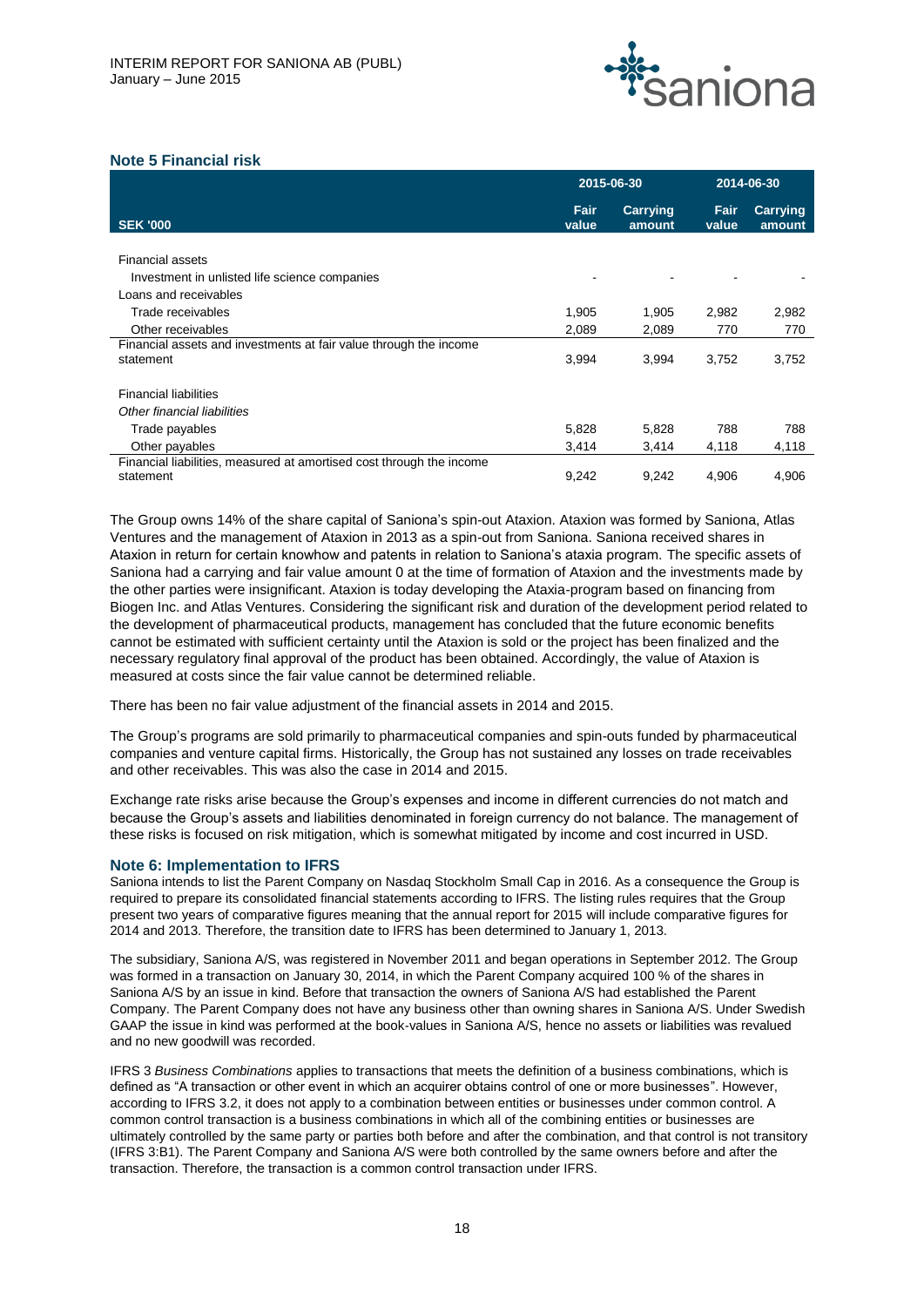

# **Note 5 Financial risk**

|                                                                      | 2015-06-30    |                    | 2014-06-30           |                    |  |
|----------------------------------------------------------------------|---------------|--------------------|----------------------|--------------------|--|
| <b>SEK '000</b>                                                      | Fair<br>value | Carrying<br>amount | <b>Fair</b><br>value | Carrying<br>amount |  |
|                                                                      |               |                    |                      |                    |  |
| <b>Financial assets</b>                                              |               |                    |                      |                    |  |
| Investment in unlisted life science companies                        |               |                    |                      |                    |  |
| Loans and receivables                                                |               |                    |                      |                    |  |
| Trade receivables                                                    | 1,905         | 1,905              | 2,982                | 2,982              |  |
| Other receivables                                                    | 2,089         | 2,089              | 770                  | 770                |  |
| Financial assets and investments at fair value through the income    |               |                    |                      |                    |  |
| statement                                                            | 3,994         | 3,994              | 3,752                | 3,752              |  |
|                                                                      |               |                    |                      |                    |  |
| <b>Financial liabilities</b>                                         |               |                    |                      |                    |  |
| Other financial liabilities                                          |               |                    |                      |                    |  |
| Trade payables                                                       | 5,828         | 5,828              | 788                  | 788                |  |
| Other payables                                                       | 3,414         | 3,414              | 4,118                | 4,118              |  |
| Financial liabilities, measured at amortised cost through the income |               |                    |                      |                    |  |
| statement                                                            | 9,242         | 9,242              | 4.906                | 4,906              |  |

The Group owns 14% of the share capital of Saniona's spin-out Ataxion. Ataxion was formed by Saniona, Atlas Ventures and the management of Ataxion in 2013 as a spin-out from Saniona. Saniona received shares in Ataxion in return for certain knowhow and patents in relation to Saniona's ataxia program. The specific assets of Saniona had a carrying and fair value amount 0 at the time of formation of Ataxion and the investments made by the other parties were insignificant. Ataxion is today developing the Ataxia-program based on financing from Biogen Inc. and Atlas Ventures. Considering the significant risk and duration of the development period related to the development of pharmaceutical products, management has concluded that the future economic benefits cannot be estimated with sufficient certainty until the Ataxion is sold or the project has been finalized and the necessary regulatory final approval of the product has been obtained. Accordingly, the value of Ataxion is measured at costs since the fair value cannot be determined reliable.

There has been no fair value adjustment of the financial assets in 2014 and 2015.

The Group's programs are sold primarily to pharmaceutical companies and spin-outs funded by pharmaceutical companies and venture capital firms. Historically, the Group has not sustained any losses on trade receivables and other receivables. This was also the case in 2014 and 2015.

Exchange rate risks arise because the Group's expenses and income in different currencies do not match and because the Group's assets and liabilities denominated in foreign currency do not balance. The management of these risks is focused on risk mitigation, which is somewhat mitigated by income and cost incurred in USD.

# **Note 6: Implementation to IFRS**

Saniona intends to list the Parent Company on Nasdaq Stockholm Small Cap in 2016. As a consequence the Group is required to prepare its consolidated financial statements according to IFRS. The listing rules requires that the Group present two years of comparative figures meaning that the annual report for 2015 will include comparative figures for 2014 and 2013. Therefore, the transition date to IFRS has been determined to January 1, 2013.

The subsidiary, Saniona A/S, was registered in November 2011 and began operations in September 2012. The Group was formed in a transaction on January 30, 2014, in which the Parent Company acquired 100 % of the shares in Saniona A/S by an issue in kind. Before that transaction the owners of Saniona A/S had established the Parent Company. The Parent Company does not have any business other than owning shares in Saniona A/S. Under Swedish GAAP the issue in kind was performed at the book-values in Saniona A/S, hence no assets or liabilities was revalued and no new goodwill was recorded.

IFRS 3 *Business Combinations* applies to transactions that meets the definition of a business combinations, which is defined as "A transaction or other event in which an acquirer obtains control of one or more businesses". However, according to IFRS 3.2, it does not apply to a combination between entities or businesses under common control. A common control transaction is a business combinations in which all of the combining entities or businesses are ultimately controlled by the same party or parties both before and after the combination, and that control is not transitory (IFRS 3:B1). The Parent Company and Saniona A/S were both controlled by the same owners before and after the transaction. Therefore, the transaction is a common control transaction under IFRS.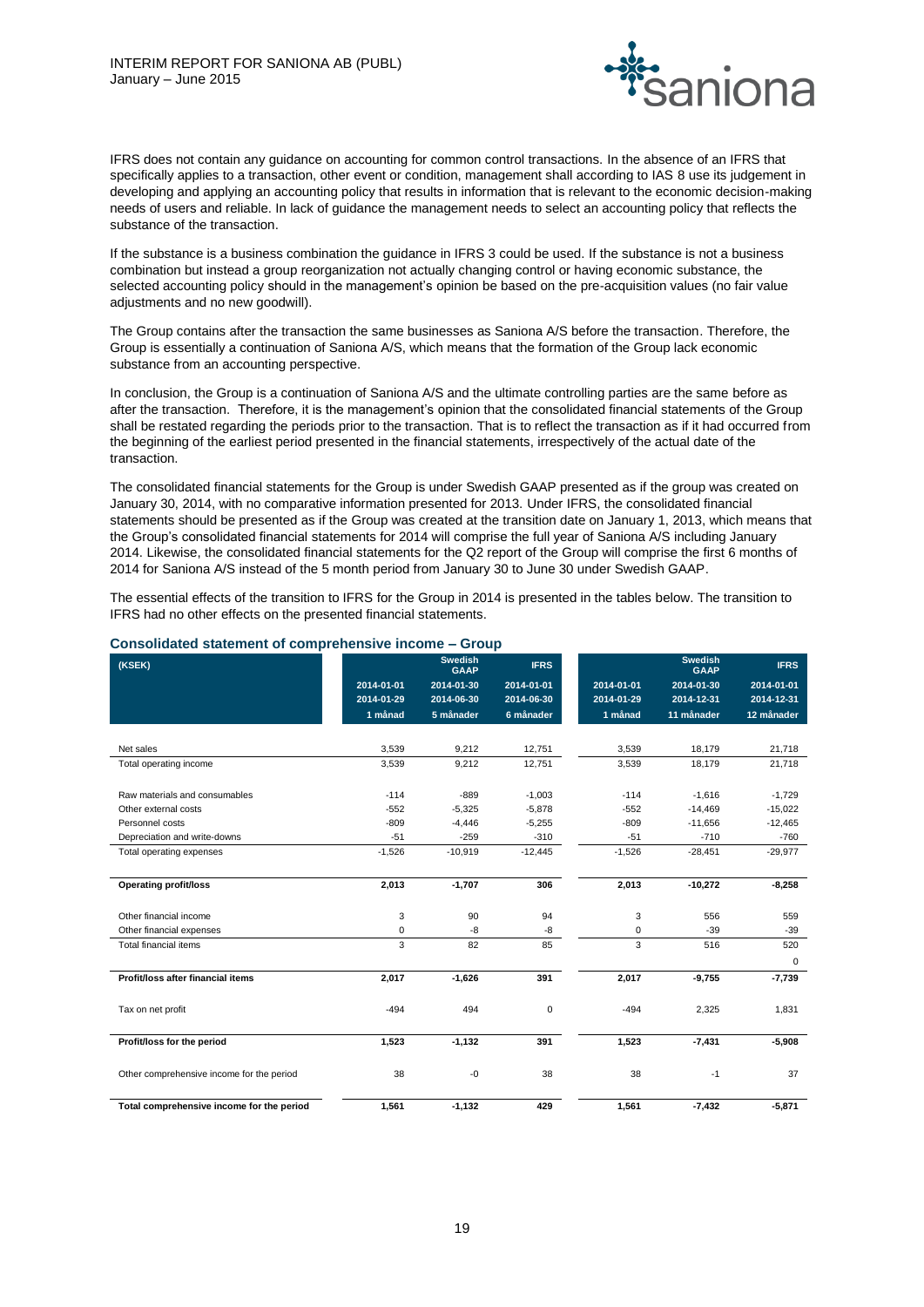

IFRS does not contain any guidance on accounting for common control transactions. In the absence of an IFRS that specifically applies to a transaction, other event or condition, management shall according to IAS 8 use its judgement in developing and applying an accounting policy that results in information that is relevant to the economic decision-making needs of users and reliable. In lack of guidance the management needs to select an accounting policy that reflects the substance of the transaction.

If the substance is a business combination the guidance in IFRS 3 could be used. If the substance is not a business combination but instead a group reorganization not actually changing control or having economic substance, the selected accounting policy should in the management's opinion be based on the pre-acquisition values (no fair value adjustments and no new goodwill).

The Group contains after the transaction the same businesses as Saniona A/S before the transaction. Therefore, the Group is essentially a continuation of Saniona A/S, which means that the formation of the Group lack economic substance from an accounting perspective.

In conclusion, the Group is a continuation of Saniona A/S and the ultimate controlling parties are the same before as after the transaction. Therefore, it is the management's opinion that the consolidated financial statements of the Group shall be restated regarding the periods prior to the transaction. That is to reflect the transaction as if it had occurred from the beginning of the earliest period presented in the financial statements, irrespectively of the actual date of the transaction.

The consolidated financial statements for the Group is under Swedish GAAP presented as if the group was created on January 30, 2014, with no comparative information presented for 2013. Under IFRS, the consolidated financial statements should be presented as if the Group was created at the transition date on January 1, 2013, which means that the Group's consolidated financial statements for 2014 will comprise the full year of Saniona A/S including January 2014. Likewise, the consolidated financial statements for the Q2 report of the Group will comprise the first 6 months of 2014 for Saniona A/S instead of the 5 month period from January 30 to June 30 under Swedish GAAP.

The essential effects of the transition to IFRS for the Group in 2014 is presented in the tables below. The transition to IFRS had no other effects on the presented financial statements.

| (KSEK)                                    |            | <b>Swedish</b><br><b>GAAP</b> | <b>IFRS</b> |            | <b>Swedish</b><br><b>GAAP</b> | <b>IFRS</b> |
|-------------------------------------------|------------|-------------------------------|-------------|------------|-------------------------------|-------------|
|                                           | 2014-01-01 | 2014-01-30                    | 2014-01-01  | 2014-01-01 | 2014-01-30                    | 2014-01-01  |
|                                           | 2014-01-29 | 2014-06-30                    | 2014-06-30  | 2014-01-29 | 2014-12-31                    | 2014-12-31  |
|                                           | 1 månad    | 5 månader                     | 6 månader   | 1 månad    | 11 månader                    | 12 månader  |
| Net sales                                 | 3,539      | 9,212                         | 12,751      | 3,539      | 18,179                        | 21,718      |
| Total operating income                    | 3,539      | 9,212                         | 12,751      | 3,539      | 18,179                        | 21,718      |
| Raw materials and consumables             | $-114$     | $-889$                        | $-1,003$    | $-114$     | $-1,616$                      | $-1,729$    |
| Other external costs                      | $-552$     | $-5,325$                      | $-5.878$    | $-552$     | $-14.469$                     | $-15,022$   |
| Personnel costs                           | $-809$     | $-4,446$                      | $-5,255$    | $-809$     | $-11,656$                     | $-12,465$   |
| Depreciation and write-downs              | $-51$      | $-259$                        | $-310$      | $-51$      | $-710$                        | $-760$      |
| Total operating expenses                  | $-1,526$   | $-10,919$                     | $-12,445$   | $-1,526$   | $-28,451$                     | $-29,977$   |
| <b>Operating profit/loss</b>              | 2,013      | $-1,707$                      | 306         | 2,013      | $-10,272$                     | $-8,258$    |
| Other financial income                    | 3          | 90                            | 94          | 3          | 556                           | 559         |
| Other financial expenses                  | 0          | -8                            | -8          | 0          | $-39$                         | $-39$       |
| Total financial items                     | 3          | 82                            | 85          | 3          | 516                           | 520         |
|                                           |            |                               |             |            |                               | $\mathbf 0$ |
| Profit/loss after financial items         | 2,017      | $-1,626$                      | 391         | 2,017      | $-9,755$                      | $-7,739$    |
| Tax on net profit                         | $-494$     | 494                           | $\mathbf 0$ | $-494$     | 2,325                         | 1,831       |
| Profit/loss for the period                | 1,523      | $-1,132$                      | 391         | 1,523      | $-7,431$                      | $-5,908$    |
| Other comprehensive income for the period | 38         | $-0$                          | 38          | 38         | $-1$                          | 37          |
| Total comprehensive income for the period | 1,561      | $-1,132$                      | 429         | 1,561      | $-7,432$                      | $-5,871$    |

# **Consolidated statement of comprehensive income – Group**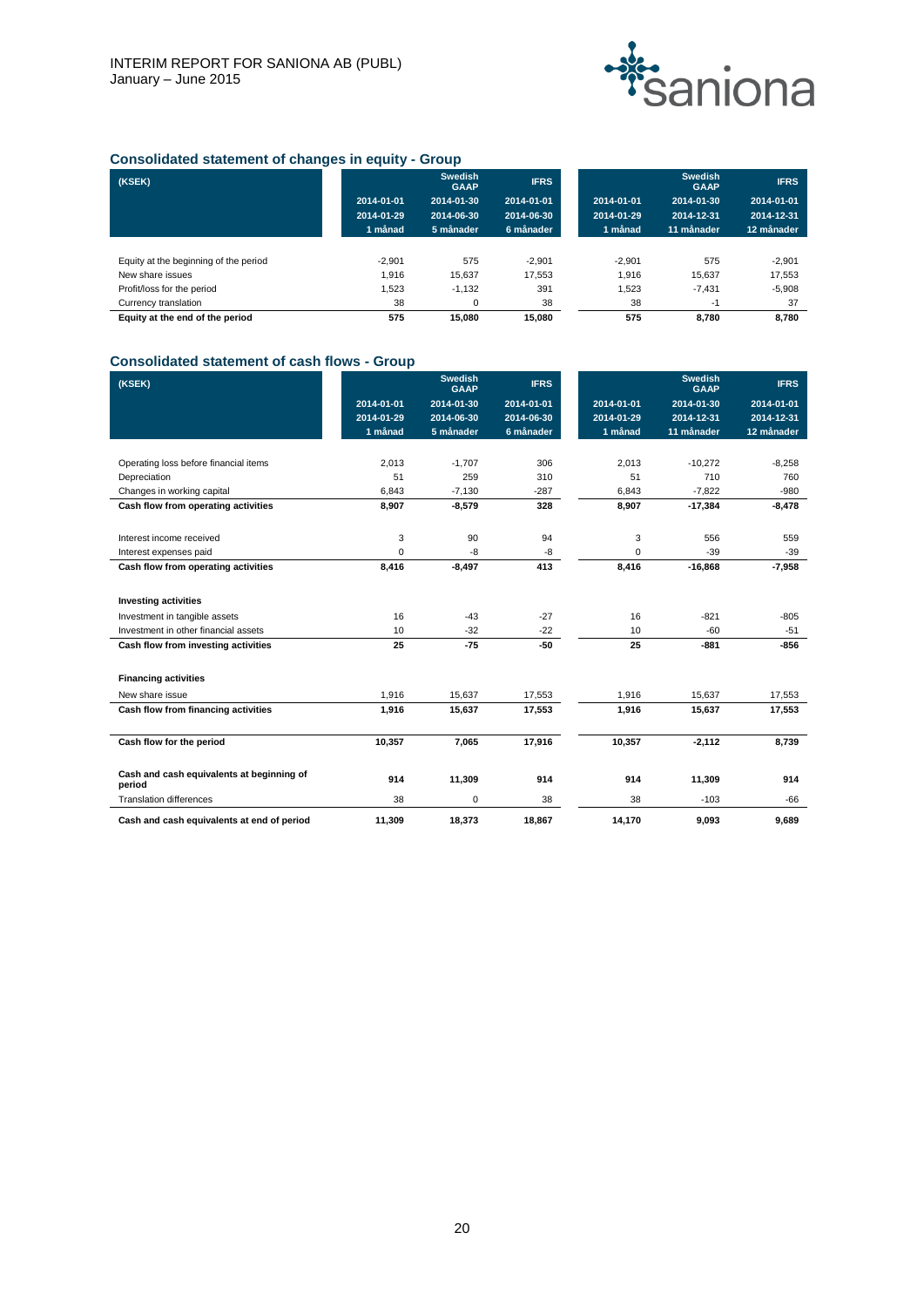

# **Consolidated statement of changes in equity - Group**

| (KSEK)                                |            | <b>Swedish</b><br><b>GAAP</b> | <b>IFRS</b> |            | <b>Swedish</b><br><b>GAAP</b> | <b>IFRS</b> |
|---------------------------------------|------------|-------------------------------|-------------|------------|-------------------------------|-------------|
|                                       | 2014-01-01 | 2014-01-30                    | 2014-01-01  | 2014-01-01 | 2014-01-30                    | 2014-01-01  |
|                                       | 2014-01-29 | 2014-06-30                    | 2014-06-30  | 2014-01-29 | 2014-12-31                    | 2014-12-31  |
|                                       | 1 månad    | 5 månader                     | 6 månader   | 1 månad    | 11 månader                    | 12 månader  |
|                                       |            |                               |             |            |                               |             |
| Equity at the beginning of the period | $-2.901$   | 575                           | $-2.901$    | $-2.901$   | 575                           | $-2.901$    |
| New share issues                      | 1.916      | 15.637                        | 17.553      | 1.916      | 15.637                        | 17.553      |
| Profit/loss for the period            | 1,523      | $-1.132$                      | 391         | 1,523      | $-7.431$                      | $-5,908$    |
| Currency translation                  | 38         | 0                             | 38          | 38         | $-1$                          | 37          |
| Equity at the end of the period       | 575        | 15.080                        | 15.080      | 575        | 8.780                         | 8.780       |

# **Consolidated statement of cash flows - Group**

| (KSEK)                                              |            | <b>Swedish</b><br><b>GAAP</b> | <b>IFRS</b> |            | <b>Swedish</b><br><b>GAAP</b> | <b>IFRS</b> |
|-----------------------------------------------------|------------|-------------------------------|-------------|------------|-------------------------------|-------------|
|                                                     | 2014-01-01 | 2014-01-30                    | 2014-01-01  | 2014-01-01 | 2014-01-30                    | 2014-01-01  |
|                                                     | 2014-01-29 | 2014-06-30                    | 2014-06-30  | 2014-01-29 | 2014-12-31                    | 2014-12-31  |
|                                                     | 1 månad    | 5 månader                     | 6 månader   | 1 månad    | 11 månader                    | 12 månader  |
|                                                     |            |                               |             |            |                               |             |
| Operating loss before financial items               | 2,013      | $-1,707$                      | 306         | 2.013      | $-10,272$                     | $-8,258$    |
| Depreciation                                        | 51         | 259                           | 310         | 51         | 710                           | 760         |
| Changes in working capital                          | 6,843      | $-7,130$                      | $-287$      | 6,843      | $-7,822$                      | $-980$      |
| Cash flow from operating activities                 | 8,907      | $-8,579$                      | 328         | 8,907      | $-17,384$                     | $-8,478$    |
| Interest income received                            | 3          | 90                            | 94          | 3          | 556                           | 559         |
| Interest expenses paid                              | $\Omega$   | -8                            | -8          | 0          | $-39$                         | $-39$       |
| Cash flow from operating activities                 | 8,416      | $-8,497$                      | 413         | 8,416      | $-16,868$                     | $-7,958$    |
|                                                     |            |                               |             |            |                               |             |
| <b>Investing activities</b>                         |            |                               |             |            |                               |             |
| Investment in tangible assets                       | 16         | $-43$                         | $-27$       | 16         | $-821$                        | $-805$      |
| Investment in other financial assets                | 10         | $-32$                         | $-22$       | 10         | $-60$                         | $-51$       |
| Cash flow from investing activities                 | 25         | $-75$                         | $-50$       | 25         | $-881$                        | $-856$      |
| <b>Financing activities</b>                         |            |                               |             |            |                               |             |
| New share issue                                     | 1,916      | 15,637                        | 17,553      | 1,916      | 15,637                        | 17,553      |
| Cash flow from financing activities                 | 1,916      | 15,637                        | 17,553      | 1,916      | 15,637                        | 17,553      |
| Cash flow for the period                            | 10,357     | 7,065                         | 17,916      | 10,357     | $-2,112$                      | 8,739       |
|                                                     |            |                               |             |            |                               |             |
| Cash and cash equivalents at beginning of<br>period | 914        | 11,309                        | 914         | 914        | 11,309                        | 914         |
| <b>Translation differences</b>                      | 38         | 0                             | 38          | 38         | $-103$                        | $-66$       |
| Cash and cash equivalents at end of period          | 11,309     | 18,373                        | 18,867      | 14.170     | 9,093                         | 9,689       |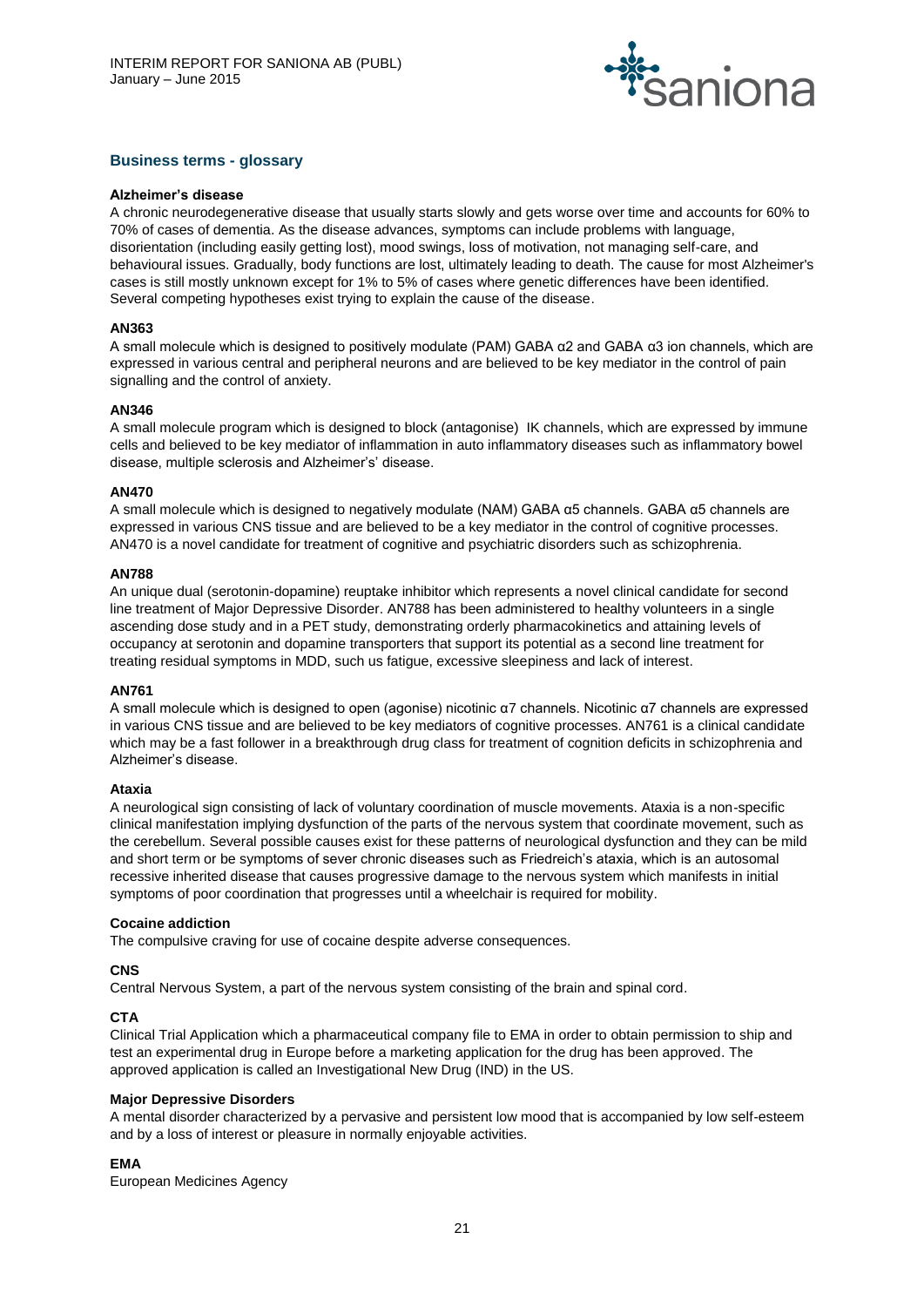

# **Business terms - glossary**

#### **Alzheimer's disease**

A chronic neurodegenerative disease that usually starts slowly and gets worse over time and accounts for 60% to 70% of cases of dementia. As the disease advances, symptoms can include problems with language, disorientation (including easily getting lost), mood swings, loss of motivation, not managing self-care, and behavioural issues. Gradually, body functions are lost, ultimately leading to death. The cause for most Alzheimer's cases is still mostly unknown except for 1% to 5% of cases where genetic differences have been identified. Several competing hypotheses exist trying to explain the cause of the disease.

# **AN363**

A small molecule which is designed to positively modulate (PAM) GABA α2 and GABA α3 ion channels, which are expressed in various central and peripheral neurons and are believed to be key mediator in the control of pain signalling and the control of anxiety.

# **AN346**

A small molecule program which is designed to block (antagonise) IK channels, which are expressed by immune cells and believed to be key mediator of inflammation in auto inflammatory diseases such as inflammatory bowel disease, multiple sclerosis and Alzheimer's' disease.

# **AN470**

A small molecule which is designed to negatively modulate (NAM) GABA α5 channels. GABA α5 channels are expressed in various CNS tissue and are believed to be a key mediator in the control of cognitive processes. AN470 is a novel candidate for treatment of cognitive and psychiatric disorders such as schizophrenia.

#### **AN788**

An unique dual (serotonin-dopamine) reuptake inhibitor which represents a novel clinical candidate for second line treatment of Major Depressive Disorder. AN788 has been administered to healthy volunteers in a single ascending dose study and in a PET study, demonstrating orderly pharmacokinetics and attaining levels of occupancy at serotonin and dopamine transporters that support its potential as a second line treatment for treating residual symptoms in MDD, such us fatigue, excessive sleepiness and lack of interest.

#### **AN761**

A small molecule which is designed to open (agonise) nicotinic α7 channels. Nicotinic α7 channels are expressed in various CNS tissue and are believed to be key mediators of cognitive processes. AN761 is a clinical candidate which may be a fast follower in a breakthrough drug class for treatment of cognition deficits in schizophrenia and Alzheimer's disease.

#### **Ataxia**

A neurological sign consisting of lack of voluntary coordination of muscle movements. Ataxia is a non-specific clinical manifestation implying dysfunction of the parts of the nervous system that coordinate movement, such as the cerebellum. Several possible causes exist for these patterns of neurological dysfunction and they can be mild and short term or be symptoms of sever chronic diseases such as Friedreich's ataxia, which is an autosomal recessive inherited disease that causes progressive damage to the nervous system which manifests in initial symptoms of poor coordination that progresses until a wheelchair is required for mobility.

#### **Cocaine addiction**

The compulsive craving for use of cocaine despite adverse consequences.

# **CNS**

Central Nervous System, a part of the nervous system consisting of the brain and spinal cord.

# **CTA**

Clinical Trial Application which a pharmaceutical company file to EMA in order to obtain permission to ship and test an experimental drug in Europe before a marketing application for the drug has been approved. The approved application is called an Investigational New Drug (IND) in the US.

#### **Major Depressive Disorders**

A mental disorder characterized by a pervasive and persistent low mood that is accompanied by low self-esteem and by a loss of interest or pleasure in normally enjoyable activities.

# **EMA**

European Medicines Agency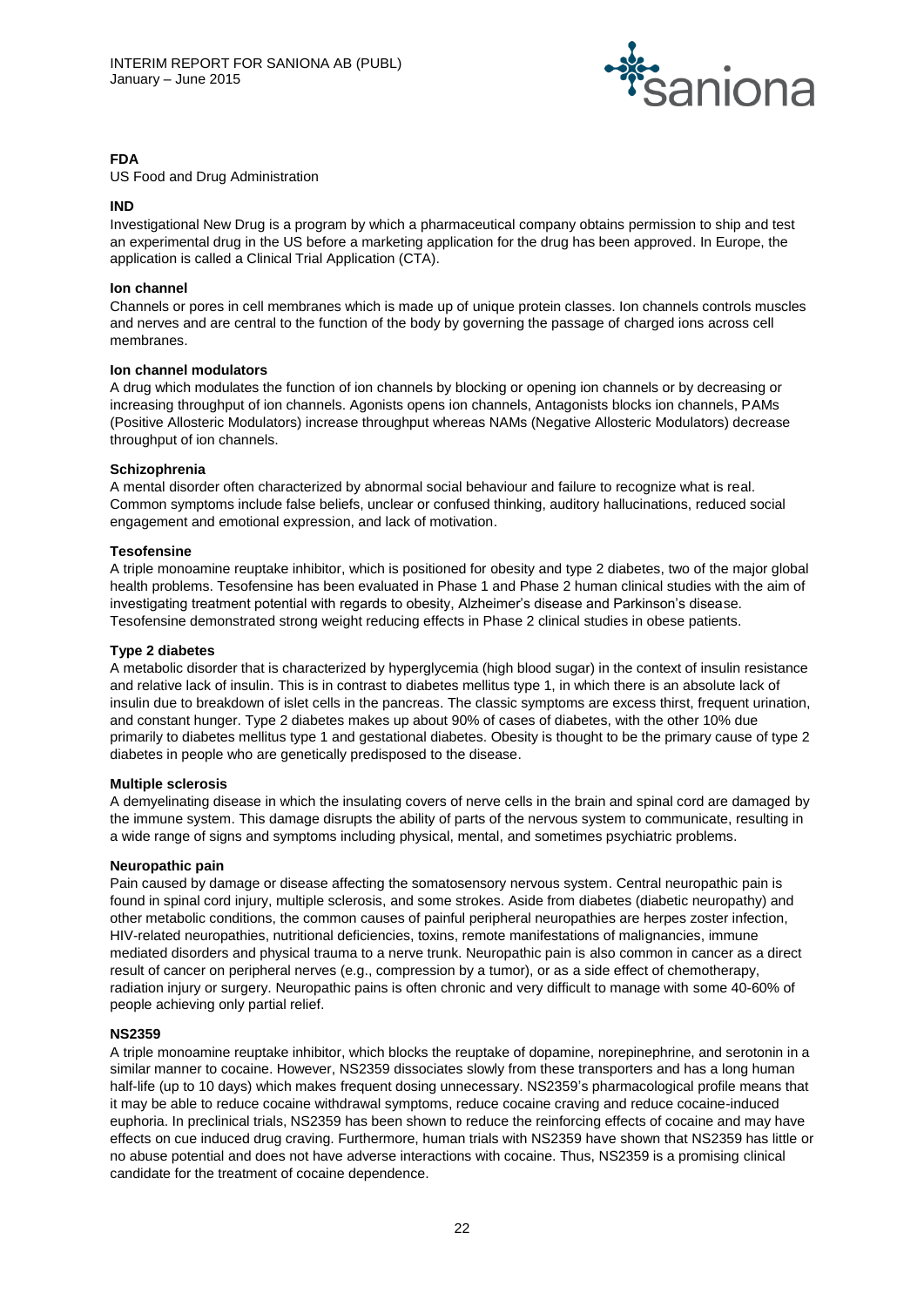

# **FDA**

US Food and Drug Administration

# **IND**

Investigational New Drug is a program by which a pharmaceutical company obtains permission to ship and test an experimental drug in the US before a marketing application for the drug has been approved. In Europe, the application is called a Clinical Trial Application (CTA).

# **Ion channel**

Channels or pores in cell membranes which is made up of unique protein classes. Ion channels controls muscles and nerves and are central to the function of the body by governing the passage of charged ions across cell membranes.

# **Ion channel modulators**

A drug which modulates the function of ion channels by blocking or opening ion channels or by decreasing or increasing throughput of ion channels. Agonists opens ion channels, Antagonists blocks ion channels, PAMs (Positive Allosteric Modulators) increase throughput whereas NAMs (Negative Allosteric Modulators) decrease throughput of ion channels.

# **Schizophrenia**

A mental disorder often characterized by abnormal social behaviour and failure to recognize what is real. Common symptoms include false beliefs, unclear or confused thinking, auditory hallucinations, reduced social engagement and emotional expression, and lack of motivation.

# **Tesofensine**

A triple monoamine reuptake inhibitor, which is positioned for obesity and type 2 diabetes, two of the major global health problems. Tesofensine has been evaluated in Phase 1 and Phase 2 human clinical studies with the aim of investigating treatment potential with regards to obesity, Alzheimer's disease and Parkinson's disease. Tesofensine demonstrated strong weight reducing effects in Phase 2 clinical studies in obese patients.

#### **Type 2 diabetes**

A metabolic disorder that is characterized by hyperglycemia (high blood sugar) in the context of insulin resistance and relative lack of insulin. This is in contrast to diabetes mellitus type 1, in which there is an absolute lack of insulin due to breakdown of islet cells in the pancreas. The classic symptoms are excess thirst, frequent urination, and constant hunger. Type 2 diabetes makes up about 90% of cases of diabetes, with the other 10% due primarily to diabetes mellitus type 1 and gestational diabetes. Obesity is thought to be the primary cause of type 2 diabetes in people who are genetically predisposed to the disease.

# **Multiple sclerosis**

A demyelinating disease in which the insulating covers of nerve cells in the brain and spinal cord are damaged by the immune system. This damage disrupts the ability of parts of the nervous system to communicate, resulting in a wide range of signs and symptoms including physical, mental, and sometimes psychiatric problems.

# **Neuropathic pain**

Pain caused by damage or disease affecting the somatosensory nervous system. Central neuropathic pain is found in spinal cord injury, multiple sclerosis, and some strokes. Aside from diabetes (diabetic neuropathy) and other metabolic conditions, the common causes of painful peripheral neuropathies are herpes zoster infection, HIV-related neuropathies, nutritional deficiencies, toxins, remote manifestations of malignancies, immune mediated disorders and physical trauma to a nerve trunk. Neuropathic pain is also common in cancer as a direct result of cancer on peripheral nerves (e.g., compression by a tumor), or as a side effect of chemotherapy, radiation injury or surgery. Neuropathic pains is often chronic and very difficult to manage with some 40-60% of people achieving only partial relief.

# **NS2359**

A triple monoamine reuptake inhibitor, which blocks the reuptake of dopamine, norepinephrine, and serotonin in a similar manner to cocaine. However, NS2359 dissociates slowly from these transporters and has a long human half-life (up to 10 days) which makes frequent dosing unnecessary. NS2359's pharmacological profile means that it may be able to reduce cocaine withdrawal symptoms, reduce cocaine craving and reduce cocaine-induced euphoria. In preclinical trials, NS2359 has been shown to reduce the reinforcing effects of cocaine and may have effects on cue induced drug craving. Furthermore, human trials with NS2359 have shown that NS2359 has little or no abuse potential and does not have adverse interactions with cocaine. Thus, NS2359 is a promising clinical candidate for the treatment of cocaine dependence.